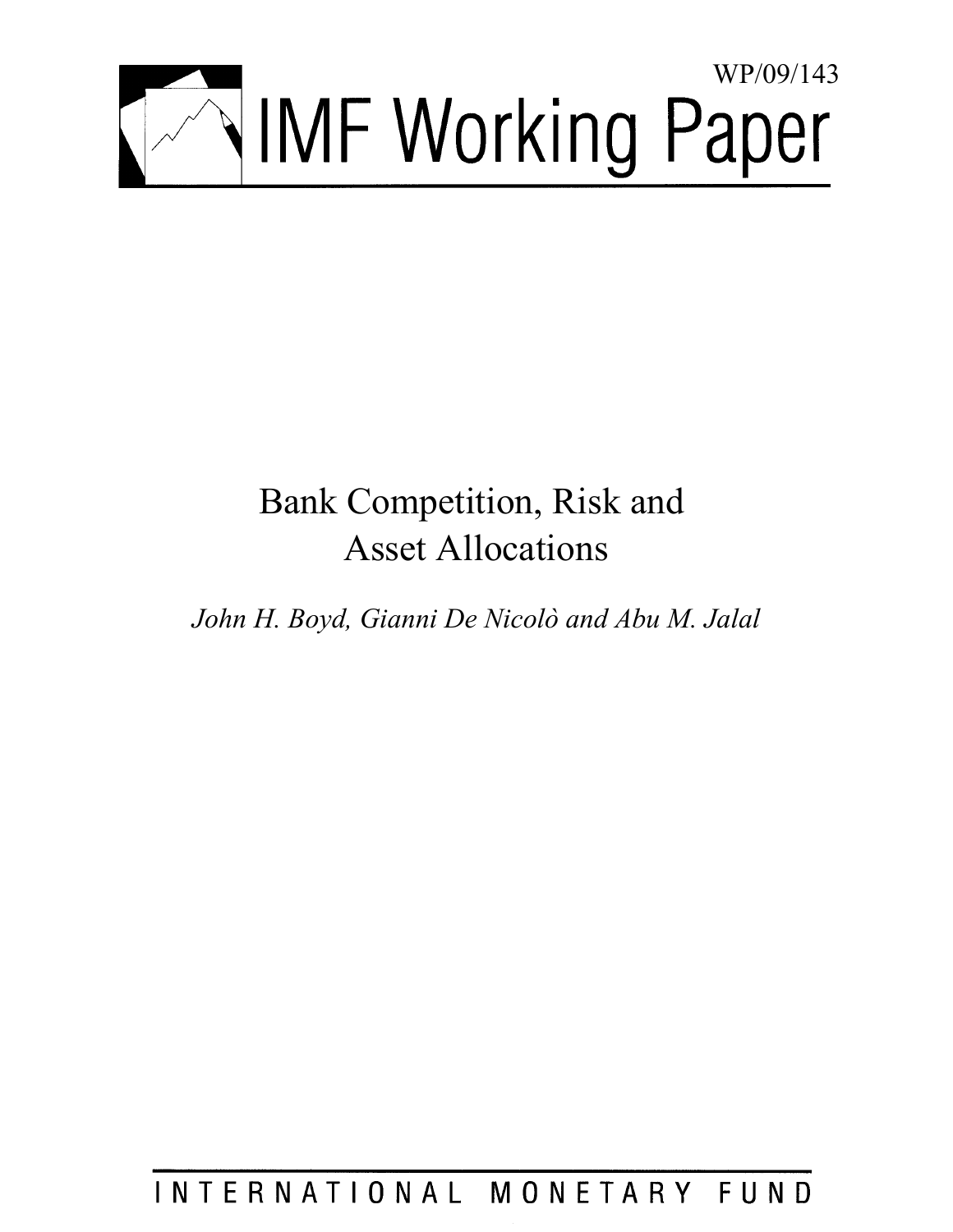

# Bank Competition, Risk and Asset Allocations

*John H. Boyd, Gianni De Nicolò and Abu M. Jalal* 

INTERNATIONAL MONETARY FUND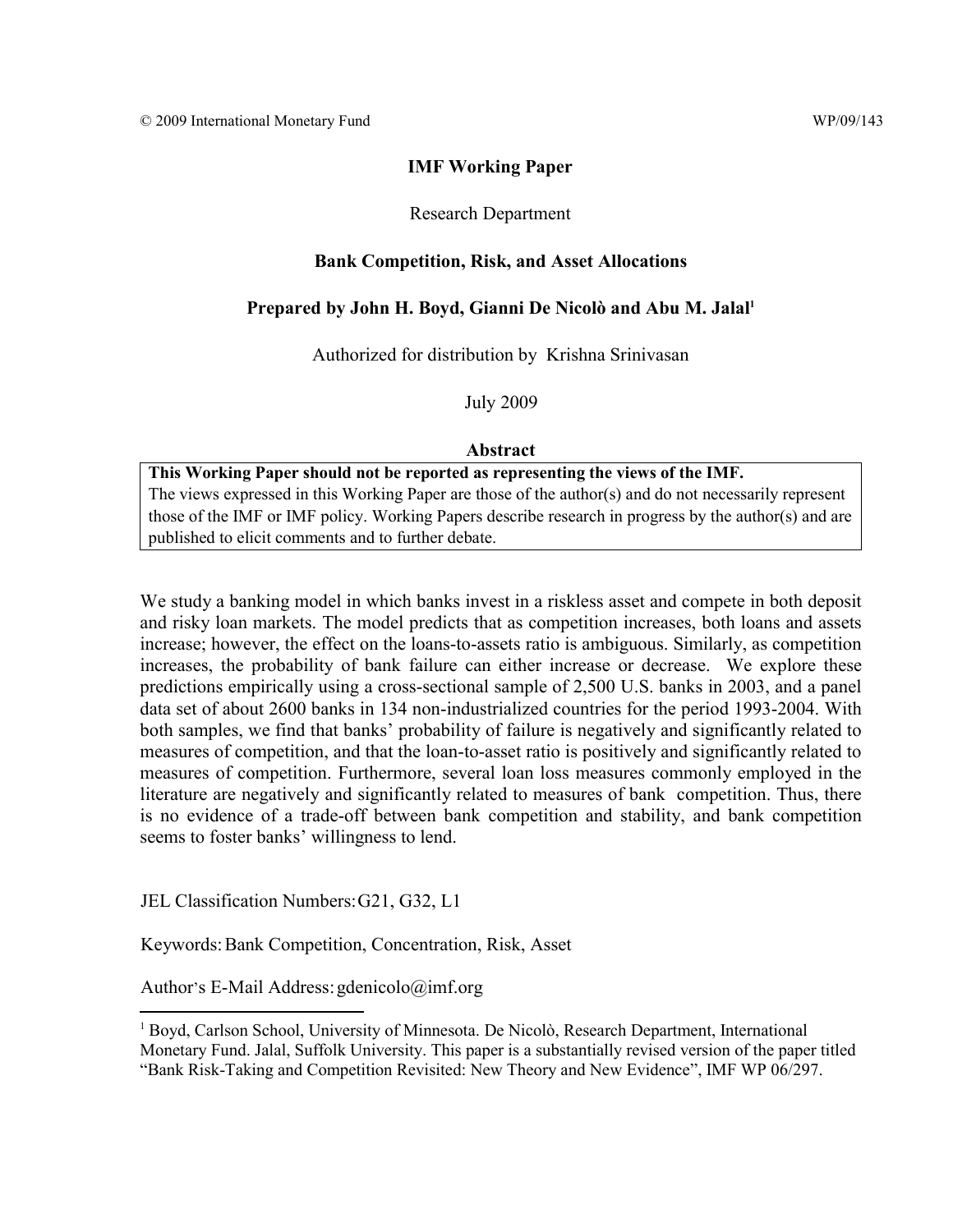## **IMF Working Paper**

## Research Department

## **Bank Competition, Risk, and Asset Allocations**

# Prepared by John H. Boyd, Gianni De Nicolò and Abu M. Jalal<sup>1</sup>

Authorized for distribution by Krishna Srinivasan

July 2009

## **Abstract**

**This Working Paper should not be reported as representing the views of the IMF.** The views expressed in this Working Paper are those of the author(s) and do not necessarily represent those of the IMF or IMF policy. Working Papers describe research in progress by the author(s) and are published to elicit comments and to further debate.

We study a banking model in which banks invest in a riskless asset and compete in both deposit and risky loan markets. The model predicts that as competition increases, both loans and assets increase; however, the effect on the loans-to-assets ratio is ambiguous. Similarly, as competition increases, the probability of bank failure can either increase or decrease. We explore these predictions empirically using a cross-sectional sample of 2,500 U.S. banks in 2003, and a panel data set of about 2600 banks in 134 non-industrialized countries for the period 1993-2004. With both samples, we find that banks' probability of failure is negatively and significantly related to measures of competition, and that the loan-to-asset ratio is positively and significantly related to measures of competition. Furthermore, several loan loss measures commonly employed in the literature are negatively and significantly related to measures of bank competition. Thus, there is no evidence of a trade-off between bank competition and stability, and bank competition seems to foster banks' willingness to lend.

JEL Classification Numbers: G21, G32, L1

Keywords: Bank Competition, Concentration, Risk, Asset

Author's E-Mail Address: gdenicolo@imf.org

<sup>1</sup> Boyd, Carlson School, University of Minnesota. De Nicolò, Research Department, International Monetary Fund. Jalal, Suffolk University. This paper is a substantially revised version of the paper titled "Bank Risk-Taking and Competition Revisited: New Theory and New Evidence", IMF WP 06/297.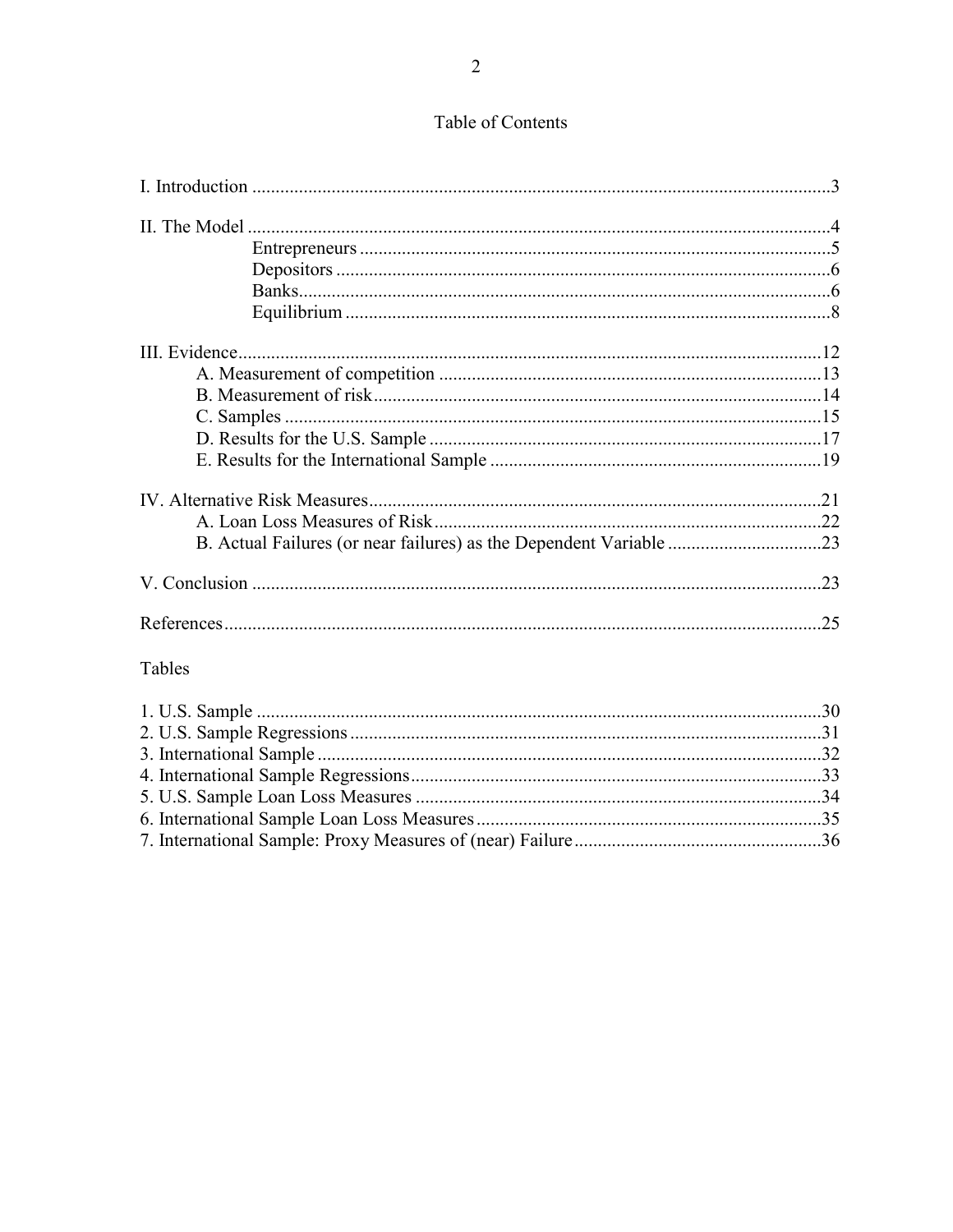| Tables |  |
|--------|--|
|        |  |
|        |  |
|        |  |
|        |  |
|        |  |
|        |  |
|        |  |

# Table of Contents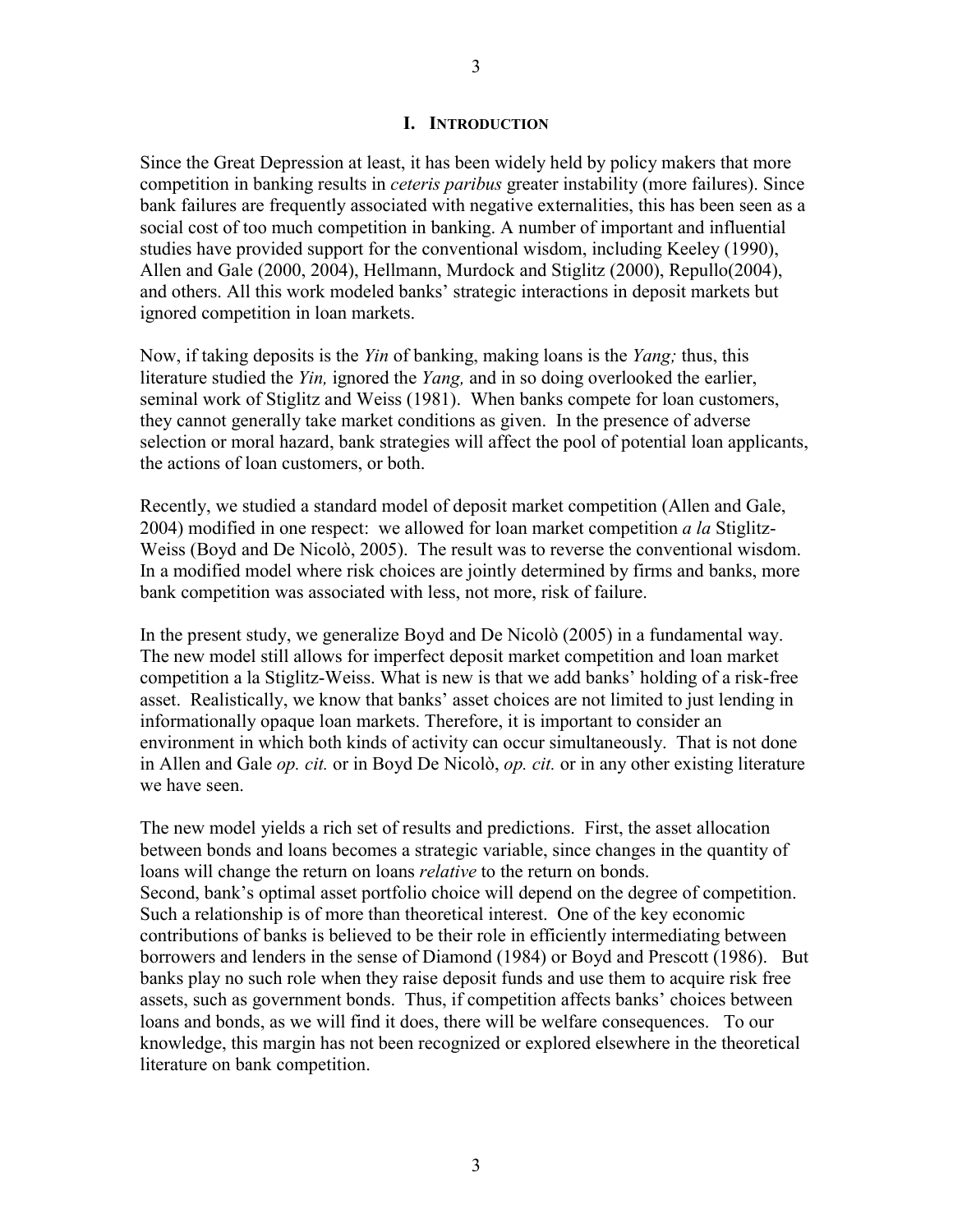## **I. INTRODUCTION**

Since the Great Depression at least, it has been widely held by policy makers that more competition in banking results in *ceteris paribus* greater instability (more failures). Since bank failures are frequently associated with negative externalities, this has been seen as a social cost of too much competition in banking. A number of important and influential studies have provided support for the conventional wisdom, including Keeley (1990), Allen and Gale (2000, 2004), Hellmann, Murdock and Stiglitz (2000), Repullo(2004), and others. All this work modeled banks' strategic interactions in deposit markets but ignored competition in loan markets.

Now, if taking deposits is the *Yin* of banking, making loans is the *Yang;* thus, this literature studied the *Yin,* ignored the *Yang,* and in so doing overlooked the earlier, seminal work of Stiglitz and Weiss (1981). When banks compete for loan customers, they cannot generally take market conditions as given. In the presence of adverse selection or moral hazard, bank strategies will affect the pool of potential loan applicants, the actions of loan customers, or both.

Recently, we studied a standard model of deposit market competition (Allen and Gale, 2004) modified in one respect: we allowed for loan market competition *a la* Stiglitz-Weiss (Boyd and De Nicolò, 2005). The result was to reverse the conventional wisdom. In a modified model where risk choices are jointly determined by firms and banks, more bank competition was associated with less, not more, risk of failure.

In the present study, we generalize Boyd and De Nicolò (2005) in a fundamental way. The new model still allows for imperfect deposit market competition and loan market competition a la Stiglitz-Weiss. What is new is that we add banks' holding of a risk-free asset. Realistically, we know that banks' asset choices are not limited to just lending in informationally opaque loan markets. Therefore, it is important to consider an environment in which both kinds of activity can occur simultaneously. That is not done in Allen and Gale *op. cit.* or in Boyd De Nicolò, *op. cit.* or in any other existing literature we have seen.

The new model yields a rich set of results and predictions. First, the asset allocation between bonds and loans becomes a strategic variable, since changes in the quantity of loans will change the return on loans *relative* to the return on bonds. Second, bank's optimal asset portfolio choice will depend on the degree of competition. Such a relationship is of more than theoretical interest. One of the key economic contributions of banks is believed to be their role in efficiently intermediating between borrowers and lenders in the sense of Diamond (1984) or Boyd and Prescott (1986). But banks play no such role when they raise deposit funds and use them to acquire risk free assets, such as government bonds. Thus, if competition affects banks' choices between loans and bonds, as we will find it does, there will be welfare consequences. To our knowledge, this margin has not been recognized or explored elsewhere in the theoretical literature on bank competition.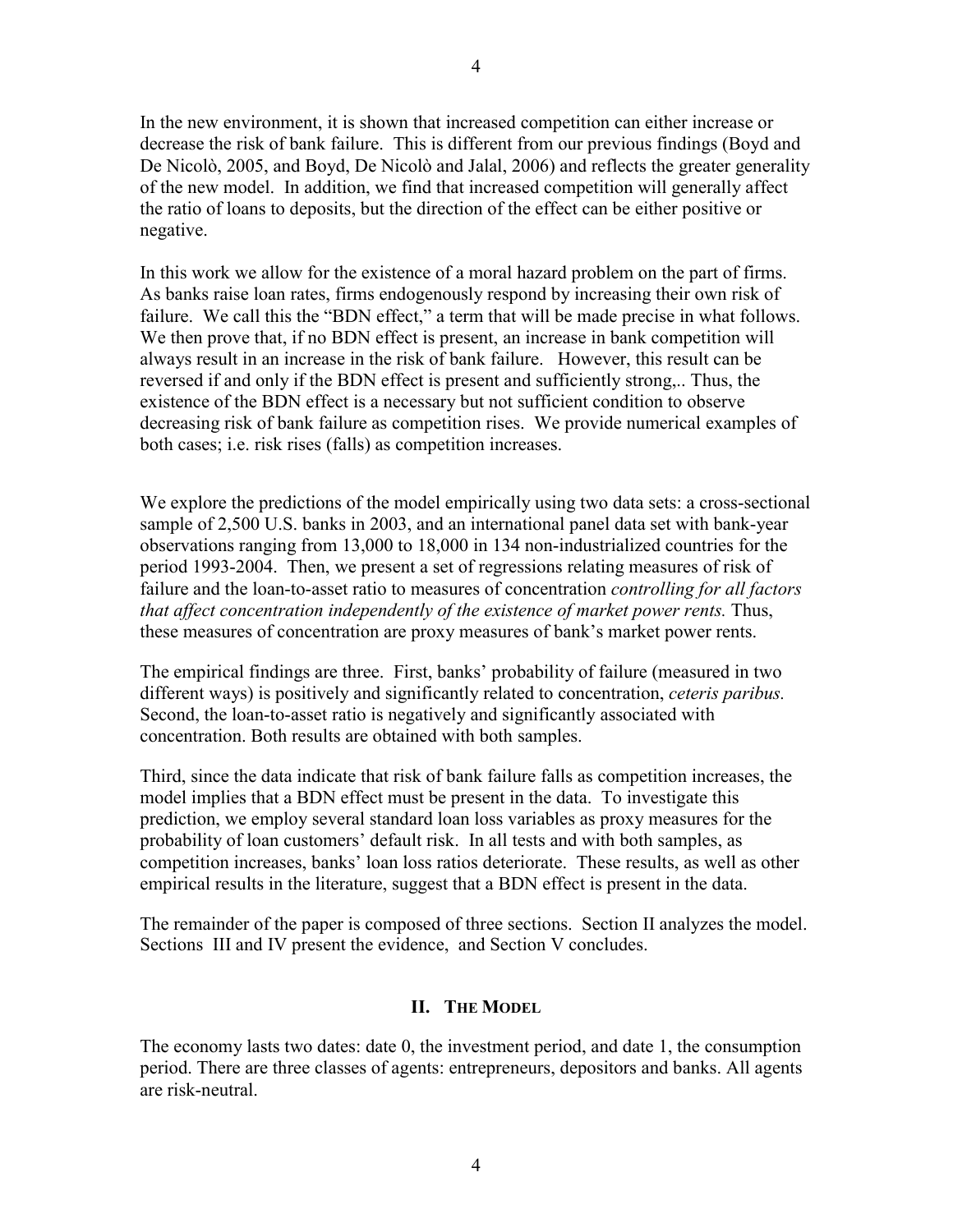In the new environment, it is shown that increased competition can either increase or decrease the risk of bank failure. This is different from our previous findings (Boyd and De Nicolò, 2005, and Boyd, De Nicolò and Jalal, 2006) and reflects the greater generality of the new model. In addition, we find that increased competition will generally affect the ratio of loans to deposits, but the direction of the effect can be either positive or negative.

In this work we allow for the existence of a moral hazard problem on the part of firms. As banks raise loan rates, firms endogenously respond by increasing their own risk of failure. We call this the "BDN effect," a term that will be made precise in what follows. We then prove that, if no BDN effect is present, an increase in bank competition will always result in an increase in the risk of bank failure. However, this result can be reversed if and only if the BDN effect is present and sufficiently strong,.. Thus, the existence of the BDN effect is a necessary but not sufficient condition to observe decreasing risk of bank failure as competition rises. We provide numerical examples of both cases; i.e. risk rises (falls) as competition increases.

We explore the predictions of the model empirically using two data sets: a cross-sectional sample of 2,500 U.S. banks in 2003, and an international panel data set with bank-year observations ranging from 13,000 to 18,000 in 134 non-industrialized countries for the period 1993-2004. Then, we present a set of regressions relating measures of risk of failure and the loan-to-asset ratio to measures of concentration *controlling for all factors that affect concentration independently of the existence of market power rents.* Thus, these measures of concentration are proxy measures of bank's market power rents.

The empirical findings are three. First, banks' probability of failure (measured in two different ways) is positively and significantly related to concentration, *ceteris paribus.*  Second, the loan-to-asset ratio is negatively and significantly associated with concentration. Both results are obtained with both samples.

Third, since the data indicate that risk of bank failure falls as competition increases, the model implies that a BDN effect must be present in the data. To investigate this prediction, we employ several standard loan loss variables as proxy measures for the probability of loan customers' default risk. In all tests and with both samples, as competition increases, banks' loan loss ratios deteriorate. These results, as well as other empirical results in the literature, suggest that a BDN effect is present in the data.

The remainder of the paper is composed of three sections. Section II analyzes the model. Sections III and IV present the evidence, and Section V concludes.

## **II. THE MODEL**

The economy lasts two dates: date 0, the investment period, and date 1, the consumption period. There are three classes of agents: entrepreneurs, depositors and banks. All agents are risk-neutral.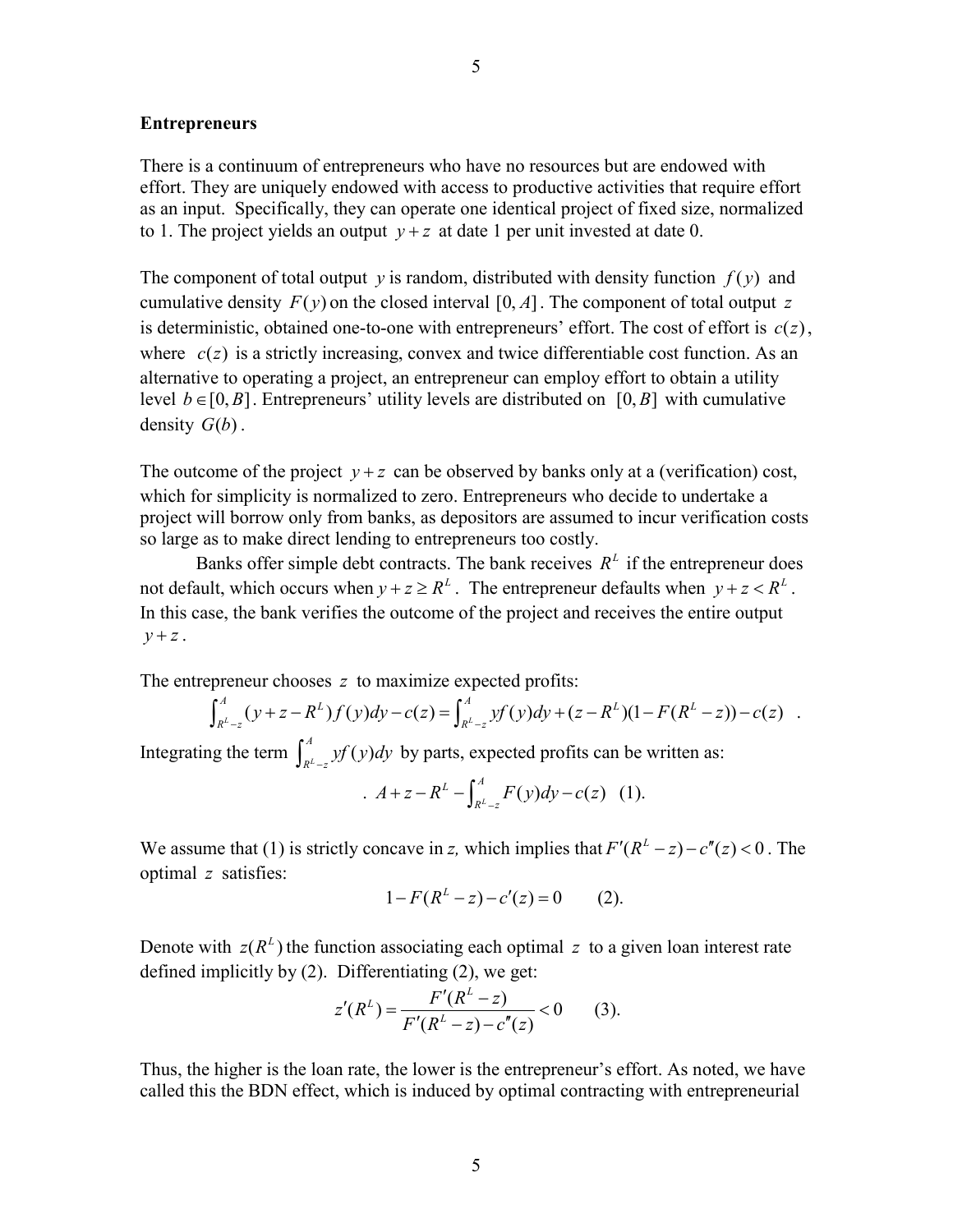#### **Entrepreneurs**

There is a continuum of entrepreneurs who have no resources but are endowed with effort. They are uniquely endowed with access to productive activities that require effort as an input. Specifically, they can operate one identical project of fixed size, normalized to 1. The project yields an output  $y + z$  at date 1 per unit invested at date 0.

The component of total output *y* is random, distributed with density function  $f(y)$  and cumulative density  $F(y)$  on the closed interval [0, A]. The component of total output z is deterministic, obtained one-to-one with entrepreneurs' effort. The cost of effort is  $c(z)$ , where  $c(z)$  is a strictly increasing, convex and twice differentiable cost function. As an alternative to operating a project, an entrepreneur can employ effort to obtain a utility level  $b \in [0, B]$ . Entrepreneurs' utility levels are distributed on [0, B] with cumulative density  $G(b)$ .

The outcome of the project  $y + z$  can be observed by banks only at a (verification) cost, which for simplicity is normalized to zero. Entrepreneurs who decide to undertake a project will borrow only from banks, as depositors are assumed to incur verification costs so large as to make direct lending to entrepreneurs too costly.

Banks offer simple debt contracts. The bank receives  $R<sup>L</sup>$  if the entrepreneur does not default, which occurs when  $v + z \geq R^L$ . The entrepreneur defaults when  $v + z < R^L$ . In this case, the bank verifies the outcome of the project and receives the entire output  $y + z$ .

The entrepreneur chooses *z* to maximize expected profits:

$$
\int_{R^L-z}^A (y+z-R^L)f(y)dy-c(z)=\int_{R^L-z}^A yf(y)dy+(z-R^L)(1-F(R^L-z))-c(z).
$$

Integrating the term  $\int_{R^L-z}^A y f(y) dy$  by parts, expected profits can be written as:

$$
A + z - R^{L} - \int_{R^{L}-z}^{A} F(y) dy - c(z) \quad (1).
$$

We assume that (1) is strictly concave in *z*, which implies that  $F'(R^L - z) - c''(z) < 0$ . The optimal *z* satisfies:

$$
1 - F(R^L - z) - c'(z) = 0 \qquad (2).
$$

Denote with  $z(R^L)$  the function associating each optimal z to a given loan interest rate defined implicitly by (2). Differentiating (2), we get:

$$
z'(R^{L}) = \frac{F'(R^{L}-z)}{F'(R^{L}-z)-c''(z)} < 0
$$
 (3).

Thus, the higher is the loan rate, the lower is the entrepreneur's effort. As noted, we have called this the BDN effect, which is induced by optimal contracting with entrepreneurial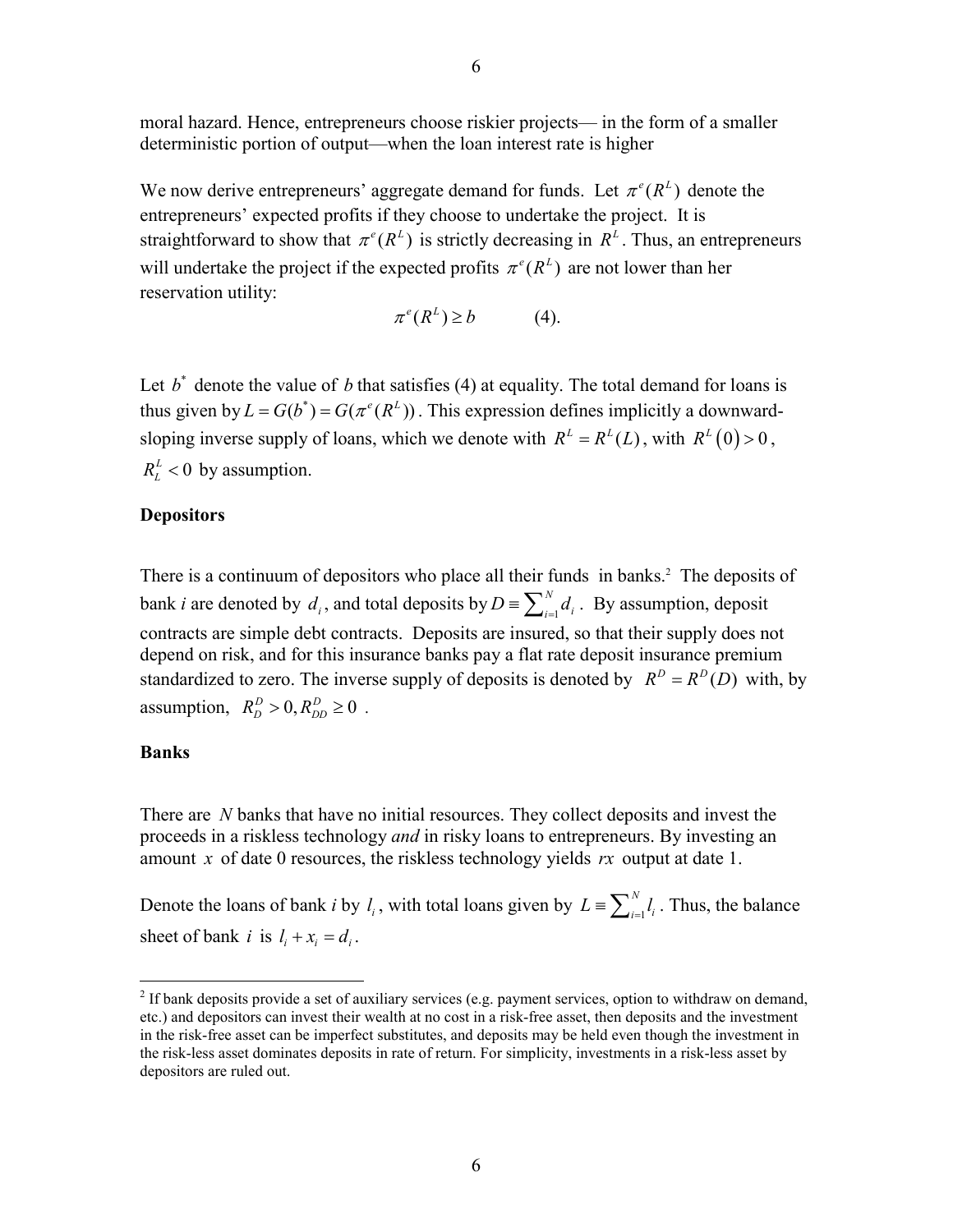moral hazard. Hence, entrepreneurs choose riskier projects— in the form of a smaller deterministic portion of output—when the loan interest rate is higher

We now derive entrepreneurs' aggregate demand for funds. Let  $\pi^e(R^L)$  denote the entrepreneurs' expected profits if they choose to undertake the project. It is straightforward to show that  $\pi^e(R^L)$  is strictly decreasing in  $R^L$ . Thus, an entrepreneurs will undertake the project if the expected profits  $\pi^e(R^L)$  are not lower than her reservation utility:

$$
\pi^e(R^L) \ge b \tag{4}
$$

Let  $b^*$  denote the value of *b* that satisfies (4) at equality. The total demand for loans is thus given by  $L = G(b^*) = G(\pi^e(R^L))$ . This expression defines implicitly a downwardsloping inverse supply of loans, which we denote with  $R^L = R^L(L)$ , with  $R^L(0) > 0$ ,  $R_{I}^{L}$  < 0 by assumption.

### **Depositors**

There is a continuum of depositors who place all their funds in banks.<sup>2</sup> The deposits of bank *i* are denoted by  $d_i$ , and total deposits by  $D = \sum_{i=1}^{N} d_i$ . By assumption, deposit contracts are simple debt contracts. Deposits are insured, so that their supply does not depend on risk, and for this insurance banks pay a flat rate deposit insurance premium standardized to zero. The inverse supply of deposits is denoted by  $R^D = R^D(D)$  with, by assumption,  $R_D^D > 0, R_{DD}^D \ge 0$ .

#### **Banks**

 $\overline{a}$ 

There are *N* banks that have no initial resources. They collect deposits and invest the proceeds in a riskless technology *and* in risky loans to entrepreneurs. By investing an amount *x* of date 0 resources, the riskless technology yields *rx* output at date 1.

Denote the loans of bank *i* by  $l_i$ , with total loans given by  $L = \sum_{i=1}^{N} l_i$ . Thus, the balance sheet of bank *i* is  $l_i + x_i = d_i$ .

 $2$  If bank deposits provide a set of auxiliary services (e.g. payment services, option to withdraw on demand, etc.) and depositors can invest their wealth at no cost in a risk-free asset, then deposits and the investment in the risk-free asset can be imperfect substitutes, and deposits may be held even though the investment in the risk-less asset dominates deposits in rate of return. For simplicity, investments in a risk-less asset by depositors are ruled out.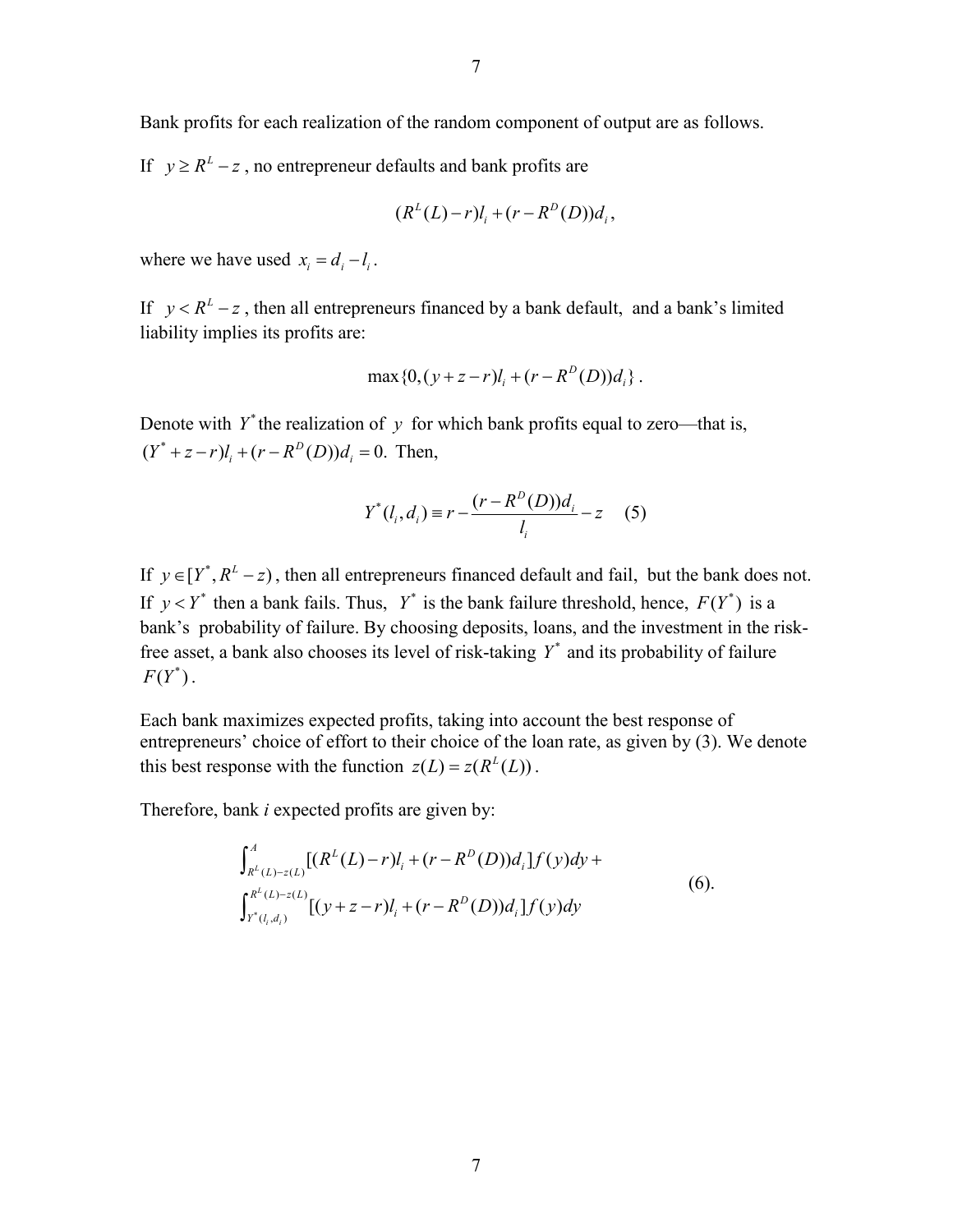Bank profits for each realization of the random component of output are as follows.

If  $y \ge R^L - z$ , no entrepreneur defaults and bank profits are

$$
(R^{L}(L)-r)l_{i}+(r-R^{D}(D))d_{i},
$$

where we have used  $x_i = d_i - l_i$ .

If  $y < R^2 - z$ , then all entrepreneurs financed by a bank default, and a bank's limited liability implies its profits are:

$$
\max\{0, (y+z-r)l_i + (r - R^D(D))d_i\}.
$$

Denote with  $Y^*$  the realization of  $y$  for which bank profits equal to zero—that is,  $(Y^* + z - r)l_i + (r - R^D(D))d_i = 0$ . Then,

$$
Y^*(l_i, d_i) \equiv r - \frac{(r - R^D(D))d_i}{l_i} - z \quad (5)
$$

If  $y \in [Y^*, R^L - z)$ , then all entrepreneurs financed default and fail, but the bank does not. If  $y < Y^*$  then a bank fails. Thus,  $Y^*$  is the bank failure threshold, hence,  $F(Y^*)$  is a bank's probability of failure. By choosing deposits, loans, and the investment in the riskfree asset, a bank also chooses its level of risk-taking  $Y^*$  and its probability of failure  $F(Y^*)$ .

Each bank maximizes expected profits, taking into account the best response of entrepreneurs' choice of effort to their choice of the loan rate, as given by (3). We denote this best response with the function  $z(L) = z(R^L(L))$ .

Therefore, bank *i* expected profits are given by:

$$
\int_{R^L(L)-z(L)}^A [(R^L(L)-r)l_i + (r - R^D(D))d_i] f(y) dy +
$$
  

$$
\int_{r^*(l_i,d_i)}^{R^L(L)-z(L)} [(y+z-r)l_i + (r - R^D(D))d_i] f(y) dy
$$
\n(6).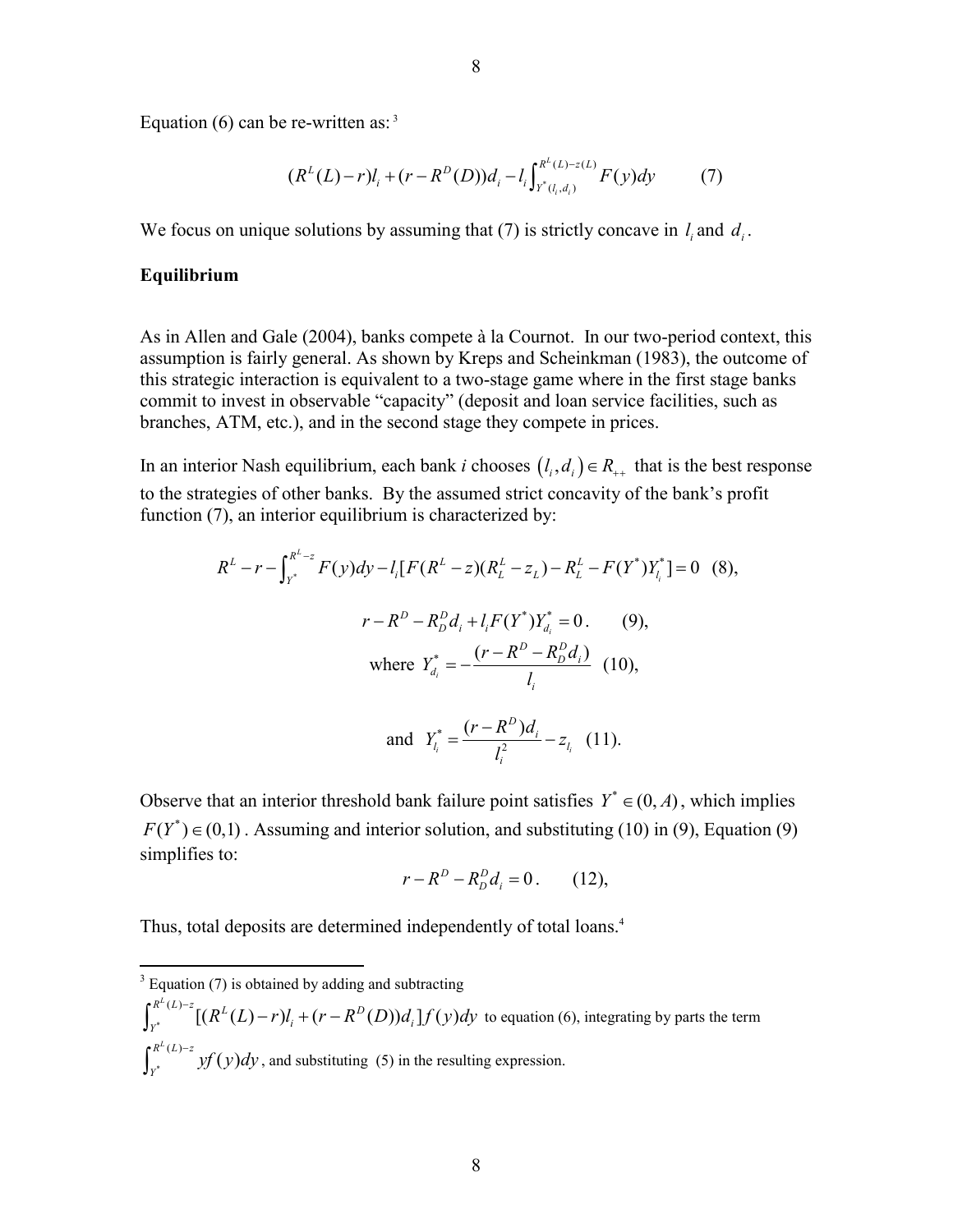Equation (6) can be re-written as:  $3^3$ 

$$
(R^{L}(L)-r)l_{i} + (r - R^{D}(D))d_{i} - l_{i} \int_{Y^{*}(l_{i}, d_{i})}^{R^{L}(L)-z(L)} F(y)dy \qquad (7)
$$

We focus on unique solutions by assuming that (7) is strictly concave in  $l_i$  and  $d_i$ .

#### **Equilibrium**

As in Allen and Gale (2004), banks compete à la Cournot. In our two-period context, this assumption is fairly general. As shown by Kreps and Scheinkman (1983), the outcome of this strategic interaction is equivalent to a two-stage game where in the first stage banks commit to invest in observable "capacity" (deposit and loan service facilities, such as branches, ATM, etc.), and in the second stage they compete in prices.

In an interior Nash equilibrium, each bank *i* chooses  $(l_i, d_i) \in R_{++}$  that is the best response to the strategies of other banks. By the assumed strict concavity of the bank's profit function (7), an interior equilibrium is characterized by:

$$
R^{L} - r - \int_{Y^{*}}^{R^{L}-z} F(y) dy - l_{i} [F(R^{L} - z)(R^{L}_{L} - z_{L}) - R^{L}_{L} - F(Y^{*})Y^{*}_{l_{i}}] = 0
$$
 (8),  

$$
r - R^{D} - R^{D}_{D}d_{i} + l_{i} F(Y^{*})Y^{*}_{d_{i}} = 0.
$$
 (9),  
where  $Y^{*}_{d_{i}} = -\frac{(r - R^{D} - R^{D}_{D}d_{i})}{l_{i}}$  (10),  
and  $Y^{*}_{l} = \frac{(r - R^{D})d_{i}}{l_{i}} - z_{l}$  (11).

Observe that an interior threshold bank failure point satisfies 
$$
Y^* \in (0, A)
$$
, which implies  $F(Y^*) \in (0, 1)$ . Assuming and interior solution, and substituting (10) in (9), Equation (9) simplifies to:

and  $Y_{l_i}^* = \frac{(1 - K)^2}{l^2}$ 

$$
r - R^D - R_D^D d_i = 0. \qquad (12),
$$

*i i*

 $\frac{z^{*}}{l_{i}} = \frac{(l - R)^{i}}{l^{2}} - z_{l}$ *i*

*l*

Thus, total deposits are determined independently of total loans.<sup>4</sup>

<sup>&</sup>lt;sup>3</sup> Equation (7) is obtained by adding and subtracting

<sup>\*</sup>  $R^L(L)-z$ <sup>L</sup> $[(R^L(L)-r)l_i+(r-R^D(D))d_i]f(y)$  $\int_{Y^*}^{R^L(L)-z} [(R^L(L)-r)l_i + (r-R^D(D))d_i] f(y) dy$  to equation (6), integrating by parts the term \*  $\int_{Y^*}^{R^L(L)-z} y f(y) dy$ , and substituting (5) in the resulting expression.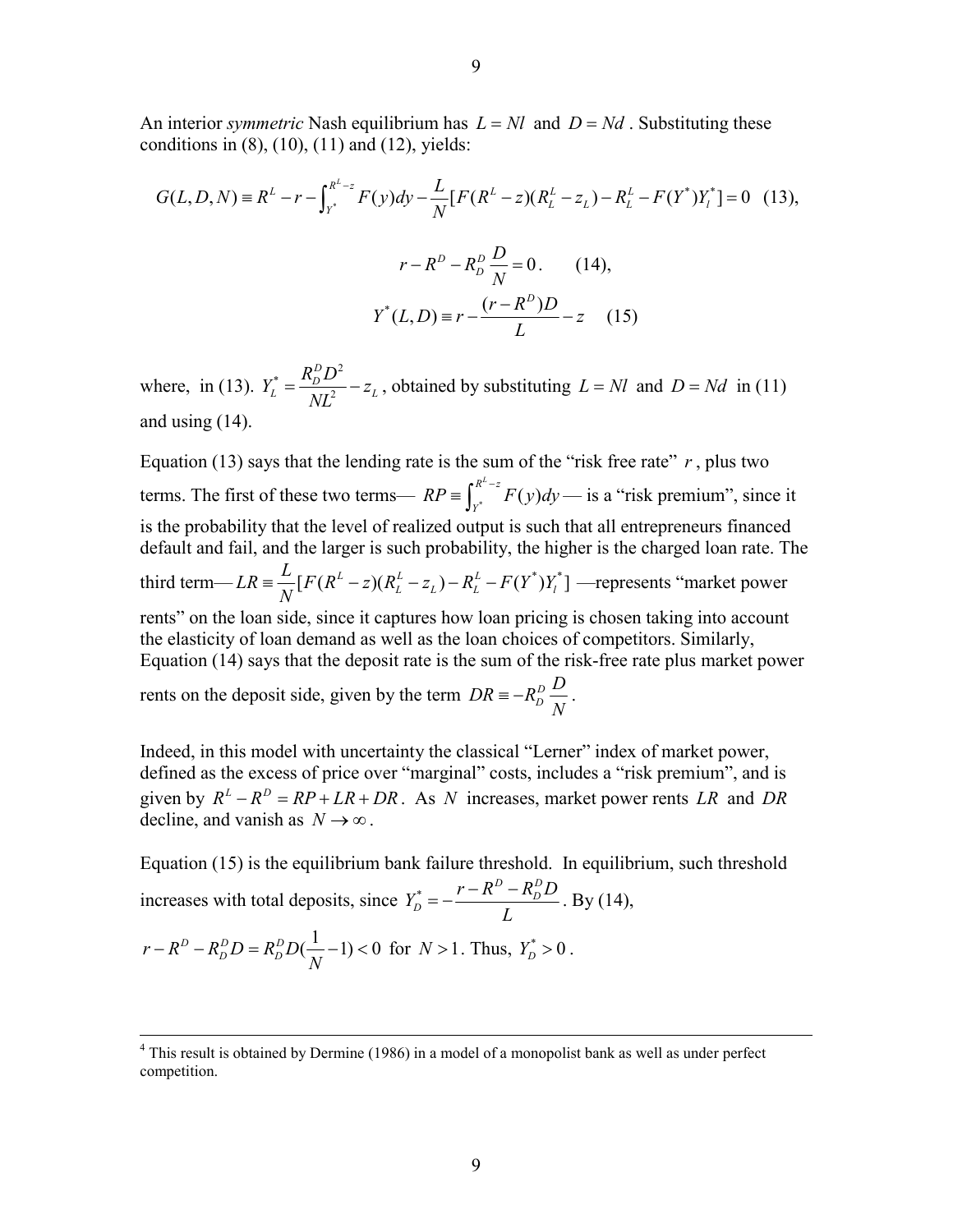An interior *symmetric* Nash equilibrium has  $L = NI$  and  $D = Nd$ . Substituting these conditions in  $(8)$ ,  $(10)$ ,  $(11)$  and  $(12)$ , yields:

$$
G(L, D, N) = R^{L} - r - \int_{r^{*}}^{R^{L}-z} F(y) dy - \frac{L}{N} [F(R^{L} - z)(R^{L}_{L} - z_{L}) - R^{L}_{L} - F(Y^{*})Y_{l}^{*}] = 0 \quad (13),
$$
  

$$
r - R^{D} - R_{D}^{D} \frac{D}{N} = 0. \qquad (14),
$$
  

$$
Y^{*}(L, D) = r - \frac{(r - R^{D})D}{L} - z \quad (15)
$$

where, in (13).  $^*$   $\_$   $R^D_D D^2$ 2 *D*  $Y_L^* = \frac{R_D^D D^2}{NL^2} - z_L$ , obtained by substituting  $L = NI$  and  $D = Nd$  in (11) and using (14).

Equation (13) says that the lending rate is the sum of the "risk free rate"  $r$ , plus two terms. The first of these two terms—  $RP \equiv \int_{v^*}^{R^L - z} F(y)$  $RP = \int_{y^*}^{R^2 - z} F(y) dy$  — is a "risk premium", since it is the probability that the level of realized output is such that all entrepreneurs financed default and fail, and the larger is such probability, the higher is the charged loan rate. The third term— $LR = \frac{L}{N} [F(R^L - z)(R^L - z_L) - R^L - F(Y^*)Y^*_l]$  —represents "market power rents" on the loan side, since it captures how loan pricing is chosen taking into account the elasticity of loan demand as well as the loan choices of competitors. Similarly, Equation (14) says that the deposit rate is the sum of the risk-free rate plus market power rents on the deposit side, given by the term  $DR = -R_D^D \frac{D}{N}$ .

Indeed, in this model with uncertainty the classical "Lerner" index of market power, defined as the excess of price over "marginal" costs, includes a "risk premium", and is given by  $R^L - R^D = RP + LR + DR$ . As *N* increases, market power rents *LR* and *DR* decline, and vanish as  $N \rightarrow \infty$ .

Equation (15) is the equilibrium bank failure threshold. In equilibrium, such threshold increases with total deposits, since  $Y_D^* = -\frac{r - R_D^D - R_D^D}{r}$  $Y_D^* = -\frac{r - R^D - R_D^D D}{I}$ *L*  $=-\frac{r-R^D-R^D_D}{r}$ . By (14),  $r - R^D - R^D_D D = R^D_D D(\frac{1}{N} - 1) < 0$  for  $N > 1$ . Thus,  $Y^*_D > 0$ .

<sup>&</sup>lt;sup>4</sup> This result is obtained by Dermine (1986) in a model of a monopolist bank as well as under perfect competition.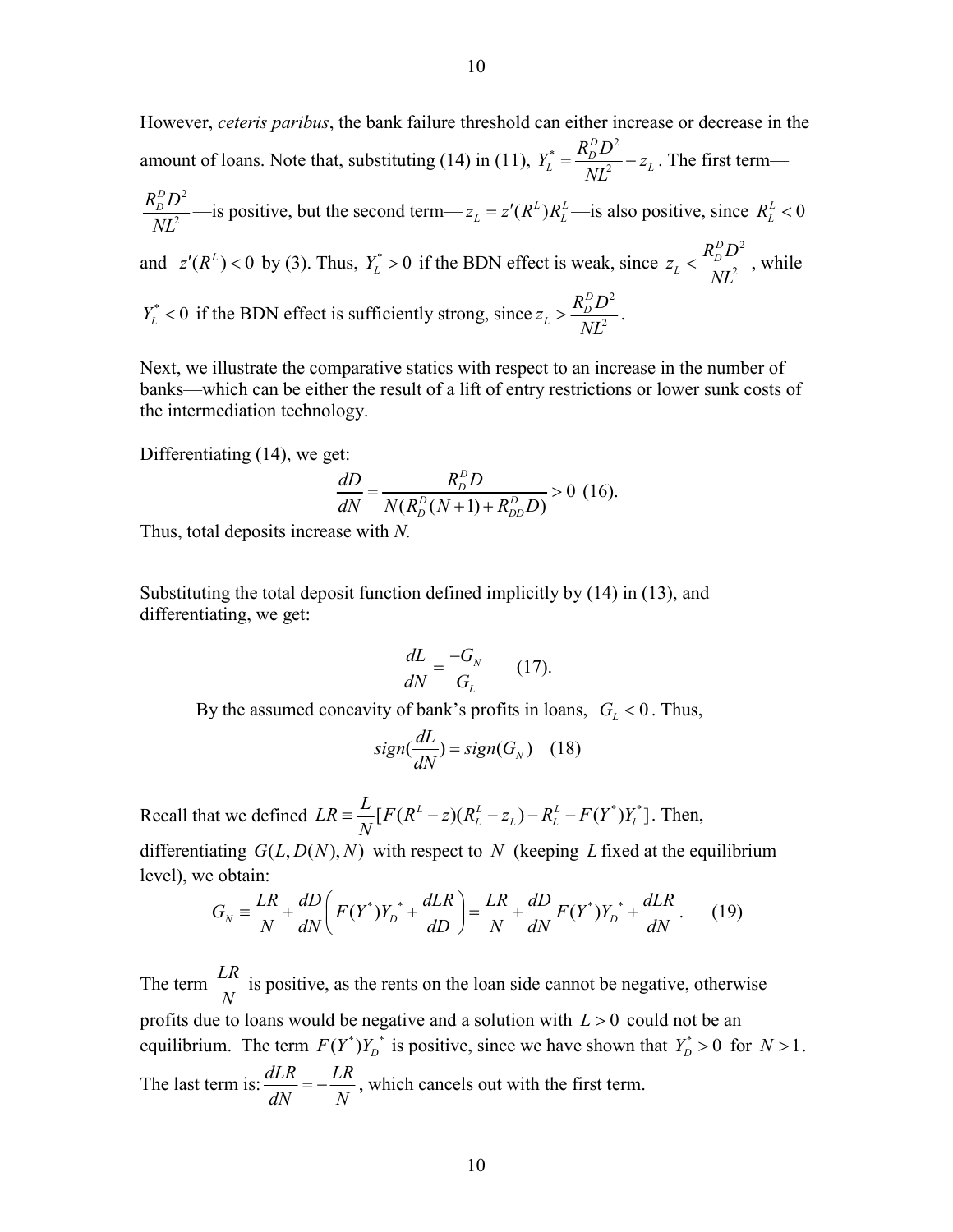However, *ceteris paribus*, the bank failure threshold can either increase or decrease in the amount of loans. Note that, substituting (14) in (11),  $^*$   $\_$   $R^D_D D^2$ 2 *D*  $Y_L^* = \frac{R_D^D D^2}{N L^2} - z_L$ . The first term—

$$
\frac{R_D^D D^2}{NL^2}
$$
—is positive, but the second term— $z_L = z'(R^L)R_L^L$ —is also positive, since  $R_L^L < 0$  and  $z'(R^L) < 0$  by (3). Thus,  $Y_L^* > 0$  if the BDN effect is weak, since  $z_L < \frac{R_D^D D^2}{NL^2}$ , while  $Y_L^* < 0$  if the BDN effect is sufficiently strong, since  $z_L > \frac{R_D^D D^2}{NL^2}$ .

Next, we illustrate the comparative statics with respect to an increase in the number of banks—which can be either the result of a lift of entry restrictions or lower sunk costs of the intermediation technology.

Differentiating (14), we get:

$$
\frac{dD}{dN} = \frac{R_D^D D}{N(R_D^D(N+1) + R_{DD}^D D)} > 0 \text{ (16)}.
$$

Thus, total deposits increase with *N.*

Substituting the total deposit function defined implicitly by (14) in (13), and differentiating, we get:

$$
\frac{dL}{dN} = \frac{-G_N}{G_L} \qquad (17).
$$

By the assumed concavity of bank's profits in loans,  $G_L < 0$ . Thus,

$$
sign(\frac{dL}{dN}) = sign(G_N) \quad (18)
$$

Recall that we defined  $LR = \frac{L}{N} [ F(R^L - z)(R^L - z_L) - R^L - F(Y^*)Y^*_l ]$ . Then,

differentiating  $G(L, D(N), N)$  with respect to N (keeping L fixed at the equilibrium level), we obtain:

$$
G_N \equiv \frac{LR}{N} + \frac{dD}{dN} \left( F(Y^*) Y_D^* + \frac{dLR}{dD} \right) = \frac{LR}{N} + \frac{dD}{dN} F(Y^*) Y_D^* + \frac{dLR}{dN} \,. \tag{19}
$$

The term  $\frac{LR}{N}$  is positive, as the rents on the loan side cannot be negative, otherwise profits due to loans would be negative and a solution with *L* > 0 could not be an equilibrium. The term  $F(Y^*)Y_D^*$  is positive, since we have shown that  $Y_D^* > 0$  for  $N > 1$ . The last term is:  $\frac{dLR}{dN} = -\frac{LR}{N}$ , which cancels out with the first term.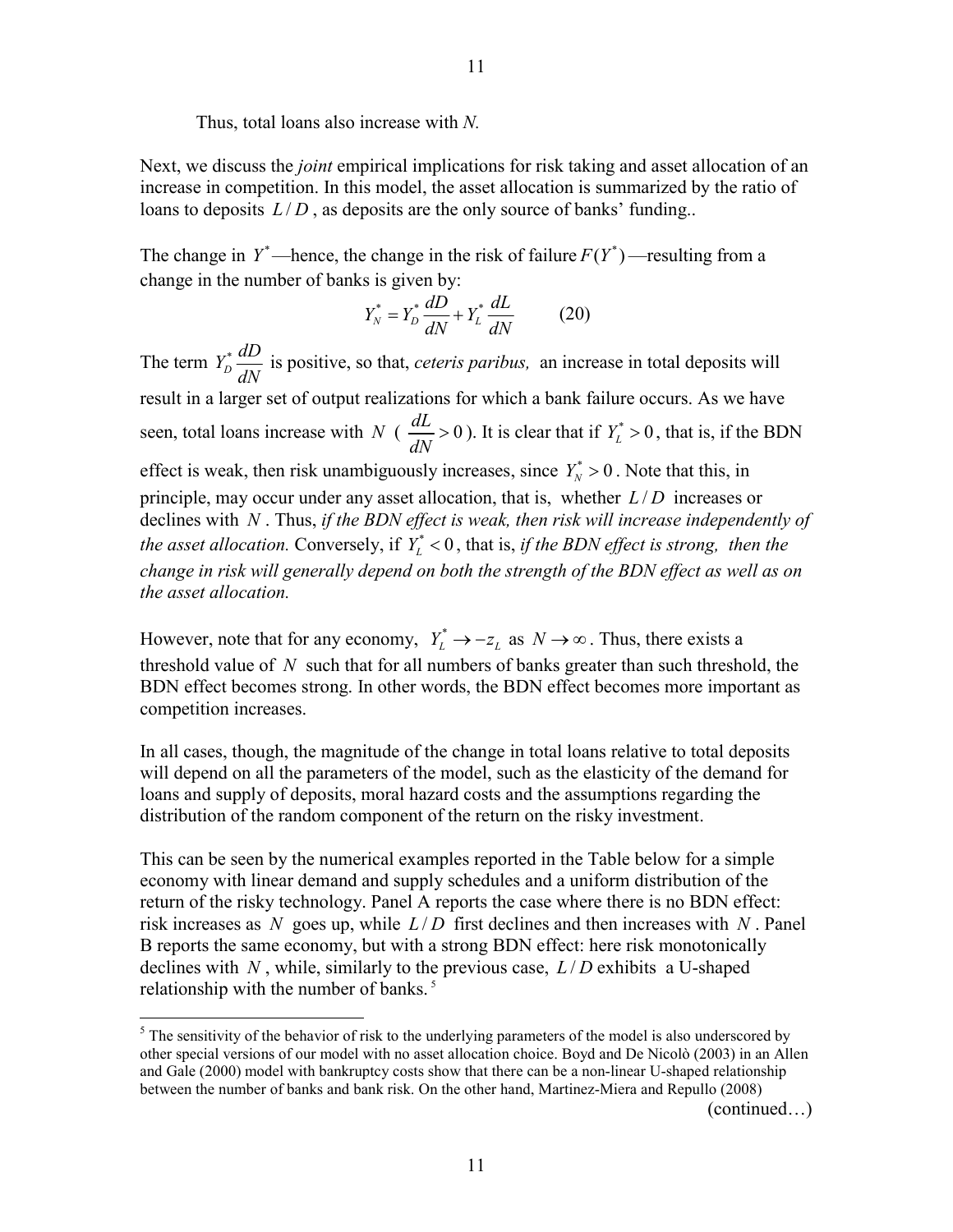Thus, total loans also increase with *N.*

Next, we discuss the *joint* empirical implications for risk taking and asset allocation of an increase in competition. In this model, the asset allocation is summarized by the ratio of loans to deposits  $L/D$ , as deposits are the only source of banks' funding...

The change in  $Y^*$ —hence, the change in the risk of failure  $F(Y^*)$ —resulting from a change in the number of banks is given by:

$$
Y_N^* = Y_D^* \frac{dD}{dN} + Y_L^* \frac{dL}{dN} \tag{20}
$$

The term  $Y_D^* \frac{dD}{dN}$  is positive, so that, *ceteris paribus*, an increase in total deposits will result in a larger set of output realizations for which a bank failure occurs. As we have seen, total loans increase with *N* ( $\frac{dL}{dx} > 0$  $\frac{dL}{dN} > 0$ ). It is clear that if  $Y_L^* > 0$ , that is, if the BDN effect is weak, then risk unambiguously increases, since  $Y_N^* > 0$ . Note that this, in principle, may occur under any asset allocation, that is, whether *L* / *D* increases or declines with *N* . Thus, *if the BDN effect is weak, then risk will increase independently of the asset allocation.* Conversely, if  $Y^*$  < 0, that is, *if the BDN effect is strong, then the change in risk will generally depend on both the strength of the BDN effect as well as on the asset allocation.* 

However, note that for any economy,  $Y_L^* \to -z_L$  as  $N \to \infty$ . Thus, there exists a threshold value of *N* such that for all numbers of banks greater than such threshold, the BDN effect becomes strong. In other words, the BDN effect becomes more important as competition increases.

In all cases, though, the magnitude of the change in total loans relative to total deposits will depend on all the parameters of the model, such as the elasticity of the demand for loans and supply of deposits, moral hazard costs and the assumptions regarding the distribution of the random component of the return on the risky investment.

This can be seen by the numerical examples reported in the Table below for a simple economy with linear demand and supply schedules and a uniform distribution of the return of the risky technology. Panel A reports the case where there is no BDN effect: risk increases as *N* goes up, while *L* / *D* first declines and then increases with *N* . Panel B reports the same economy, but with a strong BDN effect: here risk monotonically declines with *N* , while, similarly to the previous case, *L* / *D* exhibits a U-shaped relationship with the number of banks.<sup>5</sup>

1

(continued…)

 $<sup>5</sup>$  The sensitivity of the behavior of risk to the underlying parameters of the model is also underscored by</sup> other special versions of our model with no asset allocation choice. Boyd and De Nicolò (2003) in an Allen and Gale (2000) model with bankruptcy costs show that there can be a non-linear U-shaped relationship between the number of banks and bank risk. On the other hand, Martinez-Miera and Repullo (2008)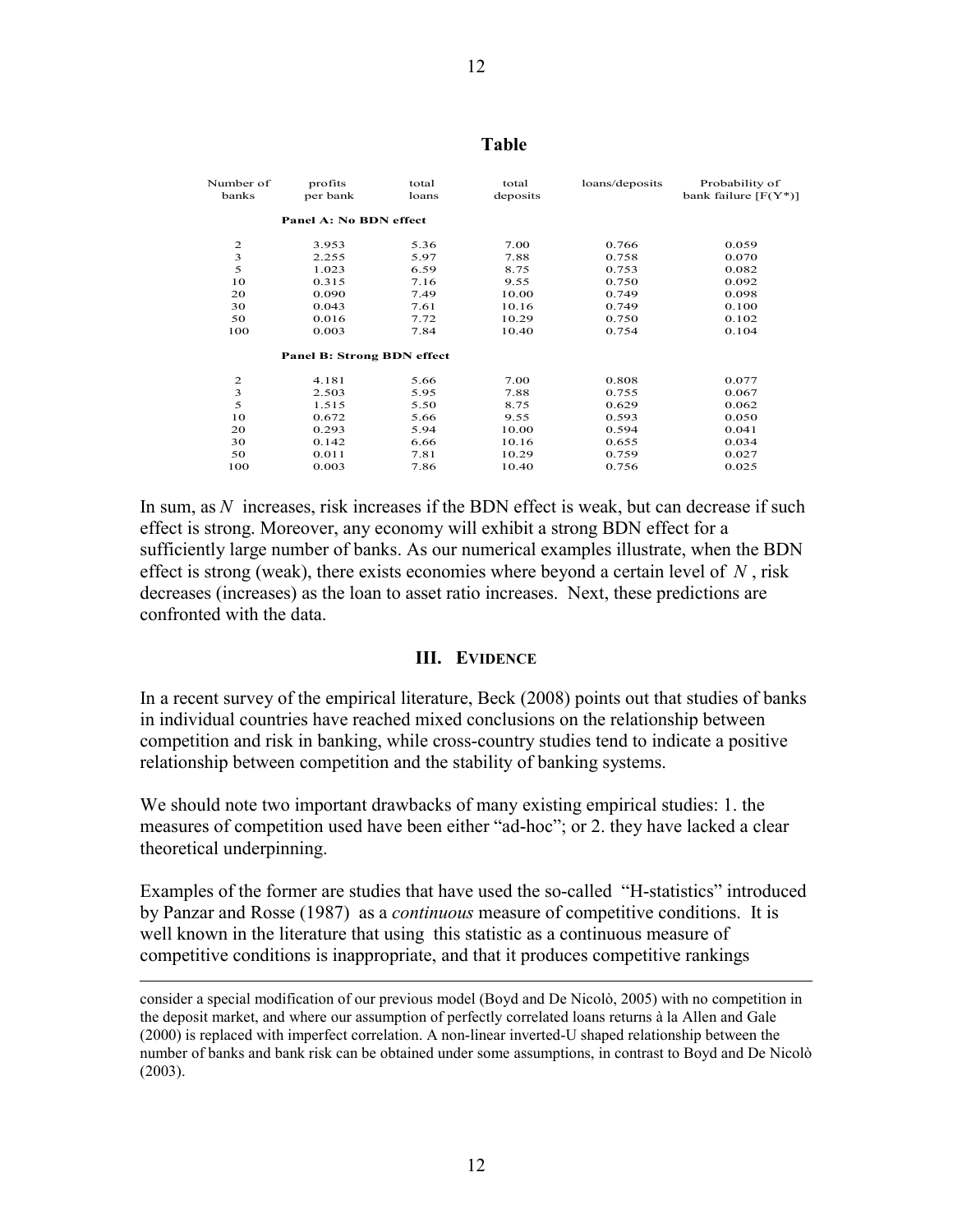#### Number of profits total total loans/deposits Probability of banks per bank loans deposits bank failure  $[FGY]$ bank failure  $[F(Y^*)]$ **Panel A: No BDN effect** 2 3.953 5.36 7.00 0.766 0.059 3 2.255 5.97 7.88 0.758 0.070 5 1.023 6.59 8.75 0.753 0.082 10 0.315 7.16 9.55 0.750 0.092 20 0.090 7.49 10.00 0.749 0.098 30 0.043 7.61 10.16 0.749 0.100 50 0.016 7.72 10.29 0.750 0.102 100 0.003 7.84 10.40 0.754 0.104 **Panel B: Strong BDN effect** 2 4.181 5.66 7.00 0.808 0.077 3 2.503 5.95 7.88 0.755 0.067 5 1.515 5.50 8.75 0.629 0.062 10 0.672 5.66 9.55 0.593 0.050 20 0.293 5.94 10.00 0.594 0.041 30 0.142 6.66 10.16 0.655 0.034 50 0.011 7.81 10.29 0.759 0.027 100 0.003 7.86 10.40 0.756 0.025

In sum, as *N* increases, risk increases if the BDN effect is weak, but can decrease if such effect is strong. Moreover, any economy will exhibit a strong BDN effect for a sufficiently large number of banks. As our numerical examples illustrate, when the BDN effect is strong (weak), there exists economies where beyond a certain level of *N* , risk decreases (increases) as the loan to asset ratio increases. Next, these predictions are confronted with the data.

#### **III. EVIDENCE**

In a recent survey of the empirical literature, Beck (2008) points out that studies of banks in individual countries have reached mixed conclusions on the relationship between competition and risk in banking, while cross-country studies tend to indicate a positive relationship between competition and the stability of banking systems.

We should note two important drawbacks of many existing empirical studies: 1. the measures of competition used have been either "ad-hoc"; or 2. they have lacked a clear theoretical underpinning.

Examples of the former are studies that have used the so-called "H-statistics" introduced by Panzar and Rosse (1987) as a *continuous* measure of competitive conditions. It is well known in the literature that using this statistic as a continuous measure of competitive conditions is inappropriate, and that it produces competitive rankings

 $\overline{a}$ 

consider a special modification of our previous model (Boyd and De Nicolò, 2005) with no competition in the deposit market, and where our assumption of perfectly correlated loans returns à la Allen and Gale (2000) is replaced with imperfect correlation. A non-linear inverted-U shaped relationship between the number of banks and bank risk can be obtained under some assumptions, in contrast to Boyd and De Nicolò (2003).

# **Table**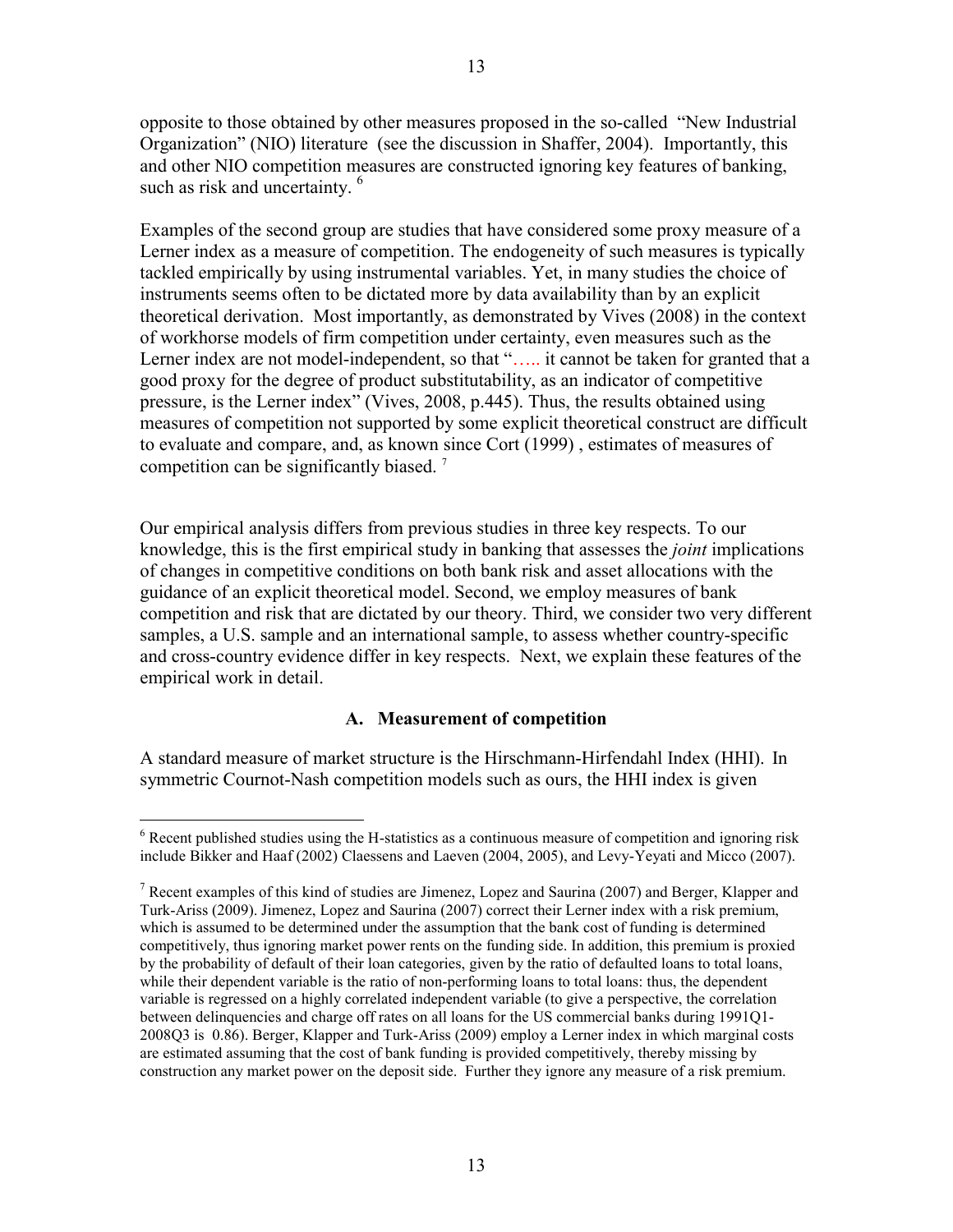opposite to those obtained by other measures proposed in the so-called "New Industrial Organization" (NIO) literature (see the discussion in Shaffer, 2004). Importantly, this and other NIO competition measures are constructed ignoring key features of banking, such as risk and uncertainty.<sup>6</sup>

Examples of the second group are studies that have considered some proxy measure of a Lerner index as a measure of competition. The endogeneity of such measures is typically tackled empirically by using instrumental variables. Yet, in many studies the choice of instruments seems often to be dictated more by data availability than by an explicit theoretical derivation. Most importantly, as demonstrated by Vives (2008) in the context of workhorse models of firm competition under certainty, even measures such as the Lerner index are not model-independent, so that "..... it cannot be taken for granted that a good proxy for the degree of product substitutability, as an indicator of competitive pressure, is the Lerner index" (Vives, 2008, p.445). Thus, the results obtained using measures of competition not supported by some explicit theoretical construct are difficult to evaluate and compare, and, as known since Cort (1999) , estimates of measures of competition can be significantly biased.<sup>7</sup>

Our empirical analysis differs from previous studies in three key respects. To our knowledge, this is the first empirical study in banking that assesses the *joint* implications of changes in competitive conditions on both bank risk and asset allocations with the guidance of an explicit theoretical model. Second, we employ measures of bank competition and risk that are dictated by our theory. Third, we consider two very different samples, a U.S. sample and an international sample, to assess whether country-specific and cross-country evidence differ in key respects. Next, we explain these features of the empirical work in detail.

## **A. Measurement of competition**

A standard measure of market structure is the Hirschmann-Hirfendahl Index (HHI). In symmetric Cournot-Nash competition models such as ours, the HHI index is given

<sup>&</sup>lt;sup>6</sup> Recent published studies using the H-statistics as a continuous measure of competition and ignoring risk include Bikker and Haaf (2002) Claessens and Laeven (2004, 2005), and Levy-Yeyati and Micco (2007).

<sup>&</sup>lt;sup>7</sup> Recent examples of this kind of studies are Jimenez, Lopez and Saurina (2007) and Berger, Klapper and Turk-Ariss (2009). Jimenez, Lopez and Saurina (2007) correct their Lerner index with a risk premium, which is assumed to be determined under the assumption that the bank cost of funding is determined competitively, thus ignoring market power rents on the funding side. In addition, this premium is proxied by the probability of default of their loan categories, given by the ratio of defaulted loans to total loans, while their dependent variable is the ratio of non-performing loans to total loans: thus, the dependent variable is regressed on a highly correlated independent variable (to give a perspective, the correlation between delinquencies and charge off rates on all loans for the US commercial banks during 1991Q1- 2008Q3 is 0.86). Berger, Klapper and Turk-Ariss (2009) employ a Lerner index in which marginal costs are estimated assuming that the cost of bank funding is provided competitively, thereby missing by construction any market power on the deposit side. Further they ignore any measure of a risk premium.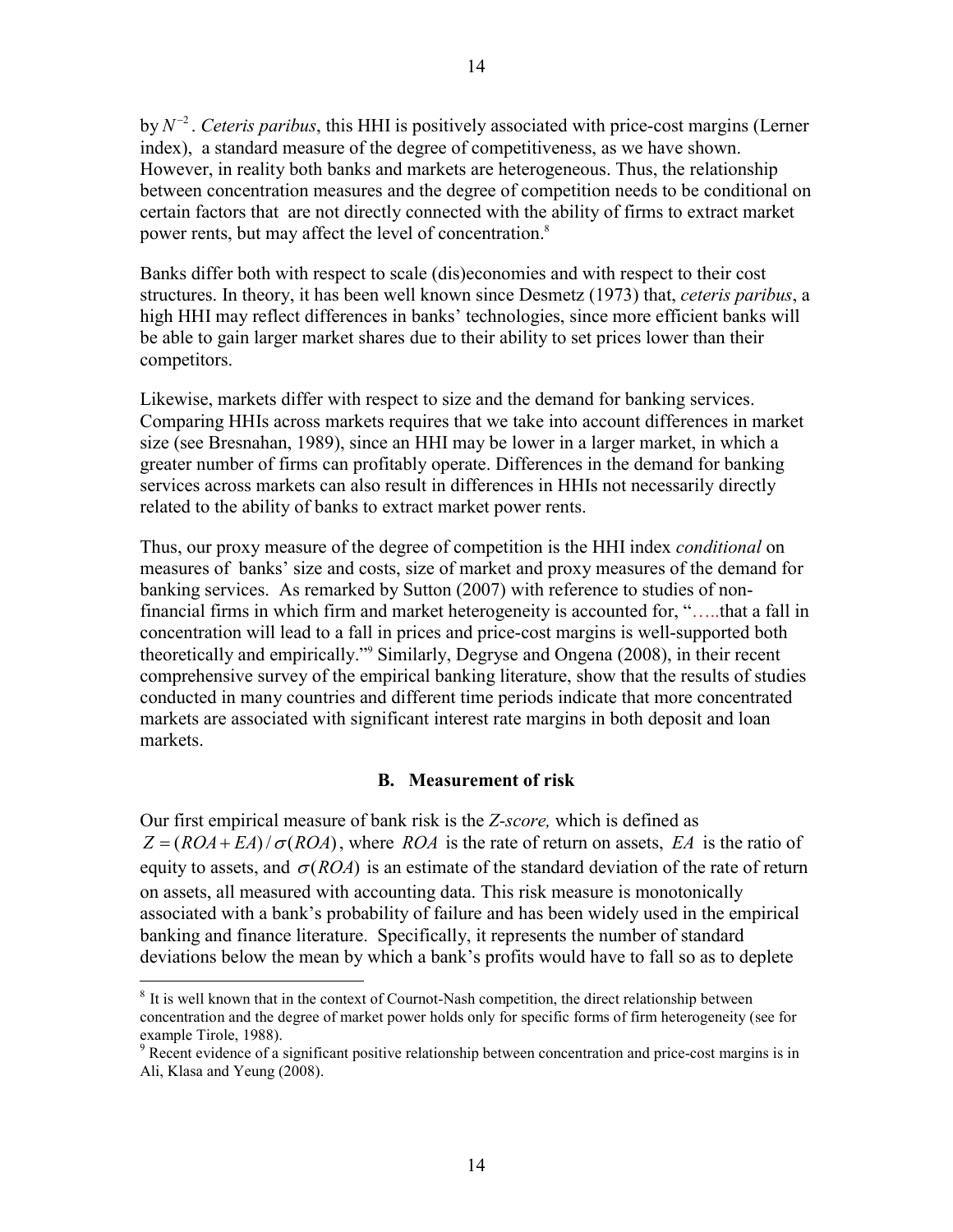by  $N^{-2}$ . *Ceteris paribus*, this HHI is positively associated with price-cost margins (Lerner index), a standard measure of the degree of competitiveness, as we have shown. However, in reality both banks and markets are heterogeneous. Thus, the relationship between concentration measures and the degree of competition needs to be conditional on certain factors that are not directly connected with the ability of firms to extract market power rents, but may affect the level of concentration.<sup>8</sup>

Banks differ both with respect to scale (dis)economies and with respect to their cost structures. In theory, it has been well known since Desmetz (1973) that, *ceteris paribus*, a high HHI may reflect differences in banks' technologies, since more efficient banks will be able to gain larger market shares due to their ability to set prices lower than their competitors.

Likewise, markets differ with respect to size and the demand for banking services. Comparing HHIs across markets requires that we take into account differences in market size (see Bresnahan, 1989), since an HHI may be lower in a larger market, in which a greater number of firms can profitably operate. Differences in the demand for banking services across markets can also result in differences in HHIs not necessarily directly related to the ability of banks to extract market power rents.

Thus, our proxy measure of the degree of competition is the HHI index *conditional* on measures of banks' size and costs, size of market and proxy measures of the demand for banking services. As remarked by Sutton (2007) with reference to studies of nonfinancial firms in which firm and market heterogeneity is accounted for, "…..that a fall in concentration will lead to a fall in prices and price-cost margins is well-supported both theoretically and empirically."9 Similarly, Degryse and Ongena (2008), in their recent comprehensive survey of the empirical banking literature, show that the results of studies conducted in many countries and different time periods indicate that more concentrated markets are associated with significant interest rate margins in both deposit and loan markets.

#### **B. Measurement of risk**

Our first empirical measure of bank risk is the *Z-score,* which is defined as  $Z = (ROA + EA)/\sigma (ROA)$ , where *ROA* is the rate of return on assets, *EA* is the ratio of equity to assets, and  $\sigma(ROA)$  is an estimate of the standard deviation of the rate of return on assets, all measured with accounting data. This risk measure is monotonically associated with a bank's probability of failure and has been widely used in the empirical banking and finance literature. Specifically, it represents the number of standard deviations below the mean by which a bank's profits would have to fall so as to deplete

<sup>&</sup>lt;sup>8</sup> It is well known that in the context of Cournot-Nash competition, the direct relationship between concentration and the degree of market power holds only for specific forms of firm heterogeneity (see for example Tirole, 1988).

<sup>&</sup>lt;sup>9</sup> Recent evidence of a significant positive relationship between concentration and price-cost margins is in Ali, Klasa and Yeung (2008).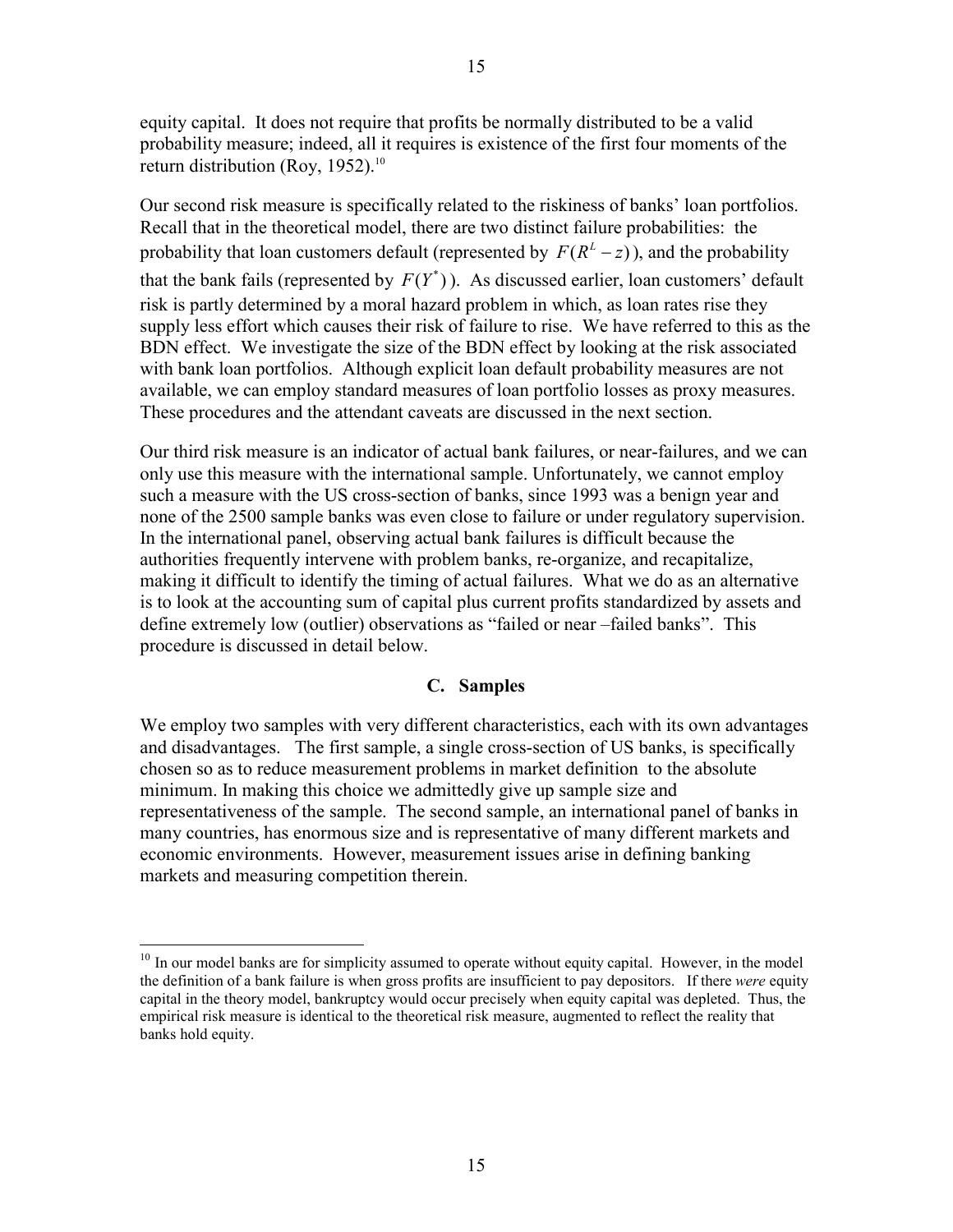equity capital. It does not require that profits be normally distributed to be a valid probability measure; indeed, all it requires is existence of the first four moments of the return distribution (Roy, 1952).<sup>10</sup>

Our second risk measure is specifically related to the riskiness of banks' loan portfolios. Recall that in the theoretical model, there are two distinct failure probabilities: the probability that loan customers default (represented by  $F(R^L - z)$ ), and the probability that the bank fails (represented by  $F(Y^*)$ ). As discussed earlier, loan customers' default risk is partly determined by a moral hazard problem in which, as loan rates rise they supply less effort which causes their risk of failure to rise. We have referred to this as the BDN effect. We investigate the size of the BDN effect by looking at the risk associated with bank loan portfolios. Although explicit loan default probability measures are not available, we can employ standard measures of loan portfolio losses as proxy measures. These procedures and the attendant caveats are discussed in the next section.

Our third risk measure is an indicator of actual bank failures, or near-failures, and we can only use this measure with the international sample. Unfortunately, we cannot employ such a measure with the US cross-section of banks, since 1993 was a benign year and none of the 2500 sample banks was even close to failure or under regulatory supervision. In the international panel, observing actual bank failures is difficult because the authorities frequently intervene with problem banks, re-organize, and recapitalize, making it difficult to identify the timing of actual failures. What we do as an alternative is to look at the accounting sum of capital plus current profits standardized by assets and define extremely low (outlier) observations as "failed or near –failed banks". This procedure is discussed in detail below.

# **C. Samples**

We employ two samples with very different characteristics, each with its own advantages and disadvantages. The first sample, a single cross-section of US banks, is specifically chosen so as to reduce measurement problems in market definition to the absolute minimum. In making this choice we admittedly give up sample size and representativeness of the sample. The second sample, an international panel of banks in many countries, has enormous size and is representative of many different markets and economic environments. However, measurement issues arise in defining banking markets and measuring competition therein.

 $10$  In our model banks are for simplicity assumed to operate without equity capital. However, in the model the definition of a bank failure is when gross profits are insufficient to pay depositors. If there *were* equity capital in the theory model, bankruptcy would occur precisely when equity capital was depleted. Thus, the empirical risk measure is identical to the theoretical risk measure, augmented to reflect the reality that banks hold equity.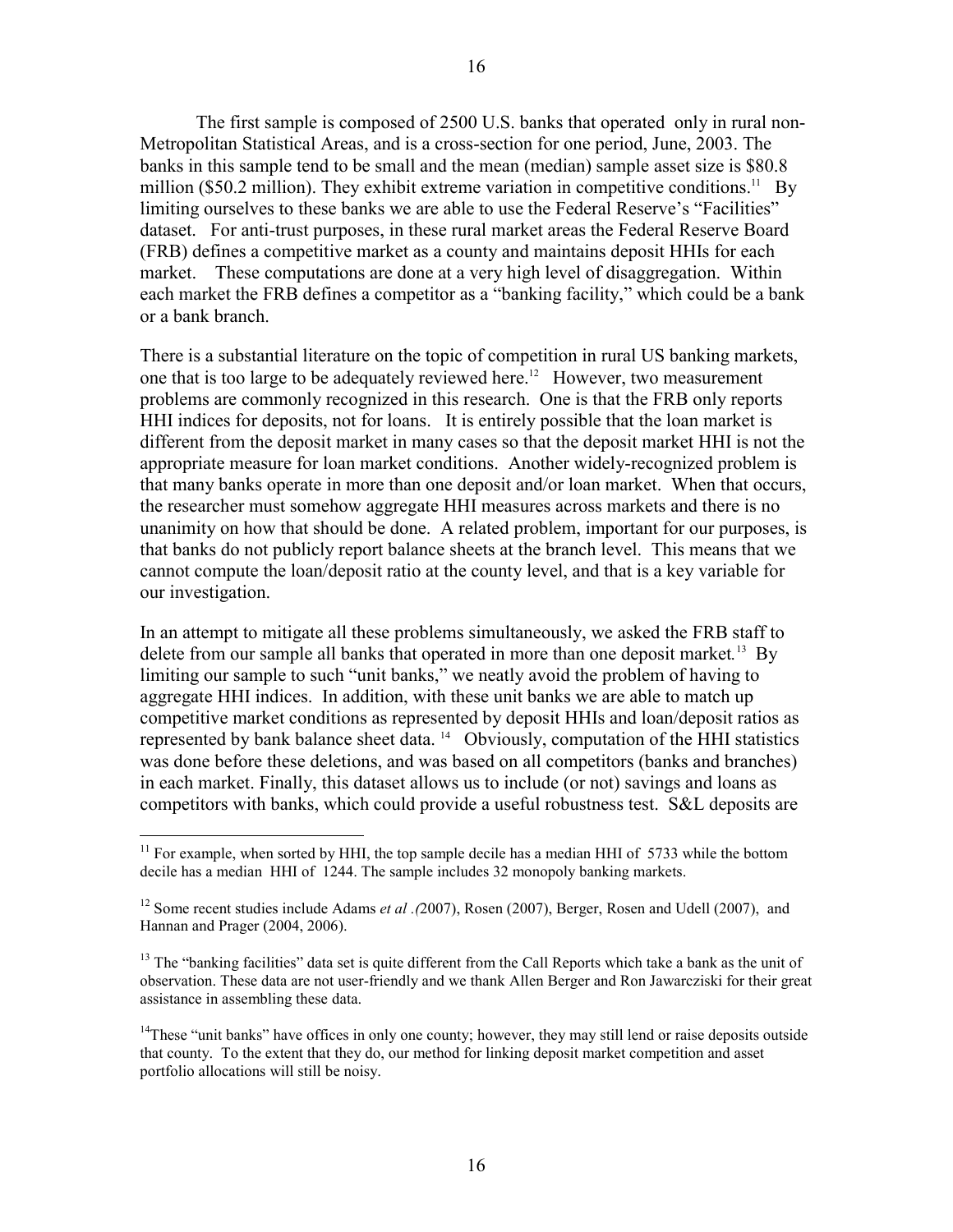The first sample is composed of 2500 U.S. banks that operated only in rural non-Metropolitan Statistical Areas, and is a cross-section for one period, June, 2003. The banks in this sample tend to be small and the mean (median) sample asset size is \$80.8 million (\$50.2 million). They exhibit extreme variation in competitive conditions.<sup>11</sup> By limiting ourselves to these banks we are able to use the Federal Reserve's "Facilities" dataset. For anti-trust purposes, in these rural market areas the Federal Reserve Board (FRB) defines a competitive market as a county and maintains deposit HHIs for each market. These computations are done at a very high level of disaggregation. Within each market the FRB defines a competitor as a "banking facility," which could be a bank or a bank branch.

There is a substantial literature on the topic of competition in rural US banking markets, one that is too large to be adequately reviewed here.<sup>12</sup> However, two measurement problems are commonly recognized in this research. One is that the FRB only reports HHI indices for deposits, not for loans. It is entirely possible that the loan market is different from the deposit market in many cases so that the deposit market HHI is not the appropriate measure for loan market conditions. Another widely-recognized problem is that many banks operate in more than one deposit and/or loan market. When that occurs, the researcher must somehow aggregate HHI measures across markets and there is no unanimity on how that should be done. A related problem, important for our purposes, is that banks do not publicly report balance sheets at the branch level. This means that we cannot compute the loan/deposit ratio at the county level, and that is a key variable for our investigation.

In an attempt to mitigate all these problems simultaneously, we asked the FRB staff to delete from our sample all banks that operated in more than one deposit market*.* 13 By limiting our sample to such "unit banks," we neatly avoid the problem of having to aggregate HHI indices. In addition, with these unit banks we are able to match up competitive market conditions as represented by deposit HHIs and loan/deposit ratios as represented by bank balance sheet data. 14 Obviously, computation of the HHI statistics was done before these deletions, and was based on all competitors (banks and branches) in each market. Finally, this dataset allows us to include (or not) savings and loans as competitors with banks, which could provide a useful robustness test. S&L deposits are

 $11$  For example, when sorted by HHI, the top sample decile has a median HHI of 5733 while the bottom decile has a median HHI of 1244. The sample includes 32 monopoly banking markets.

<sup>12</sup> Some recent studies include Adams *et al .(*2007), Rosen (2007), Berger, Rosen and Udell (2007), and Hannan and Prager (2004, 2006).

<sup>&</sup>lt;sup>13</sup> The "banking facilities" data set is quite different from the Call Reports which take a bank as the unit of observation. These data are not user-friendly and we thank Allen Berger and Ron Jawarcziski for their great assistance in assembling these data.

<sup>&</sup>lt;sup>14</sup>These "unit banks" have offices in only one county; however, they may still lend or raise deposits outside that county. To the extent that they do, our method for linking deposit market competition and asset portfolio allocations will still be noisy.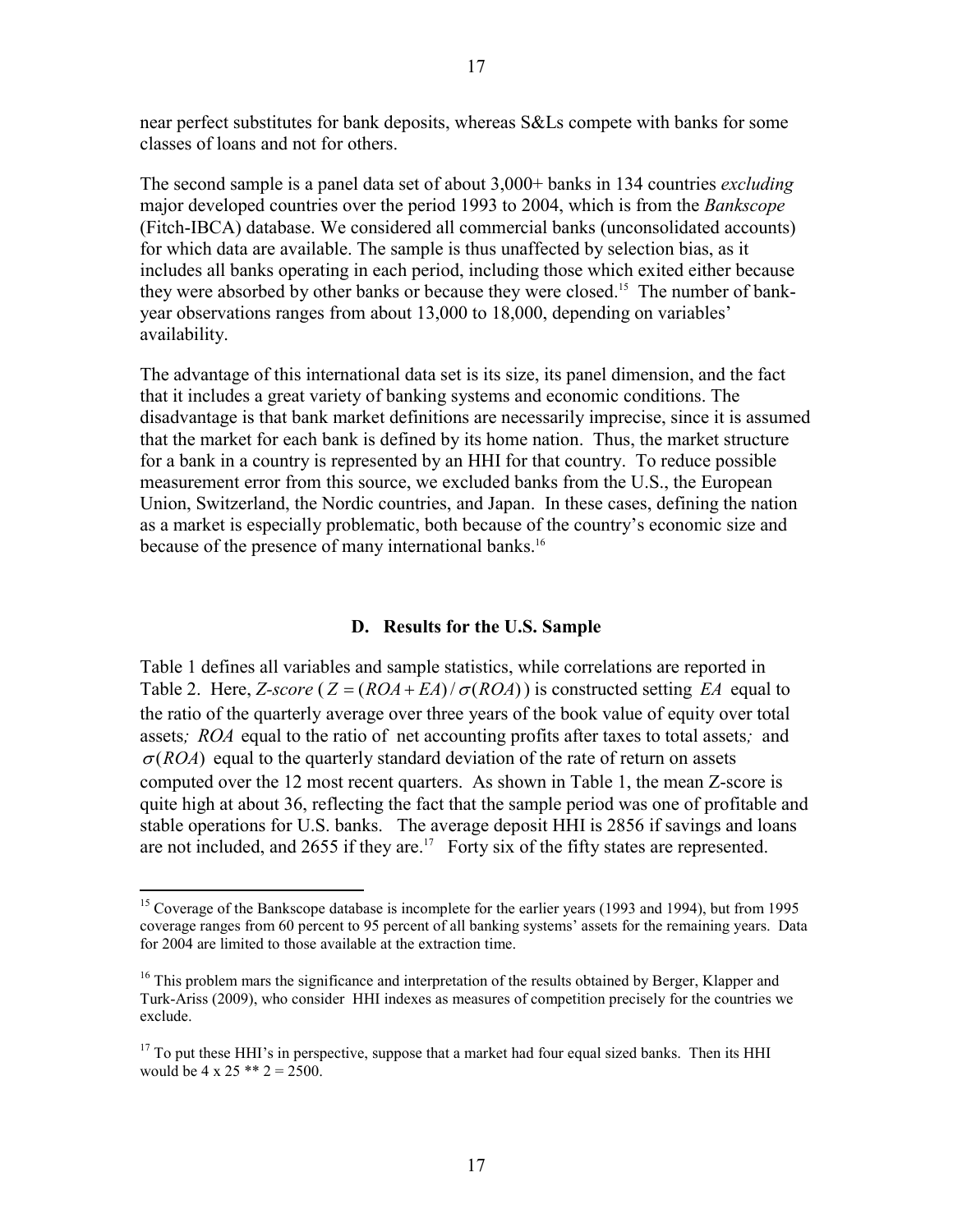near perfect substitutes for bank deposits, whereas S&Ls compete with banks for some classes of loans and not for others.

The second sample is a panel data set of about 3,000+ banks in 134 countries *excluding* major developed countries over the period 1993 to 2004, which is from the *Bankscope*  (Fitch-IBCA) database. We considered all commercial banks (unconsolidated accounts) for which data are available. The sample is thus unaffected by selection bias, as it includes all banks operating in each period, including those which exited either because they were absorbed by other banks or because they were closed.<sup>15</sup> The number of bankyear observations ranges from about 13,000 to 18,000, depending on variables' availability.

The advantage of this international data set is its size, its panel dimension, and the fact that it includes a great variety of banking systems and economic conditions. The disadvantage is that bank market definitions are necessarily imprecise, since it is assumed that the market for each bank is defined by its home nation. Thus, the market structure for a bank in a country is represented by an HHI for that country. To reduce possible measurement error from this source, we excluded banks from the U.S., the European Union, Switzerland, the Nordic countries, and Japan. In these cases, defining the nation as a market is especially problematic, both because of the country's economic size and because of the presence of many international banks.<sup>16</sup>

#### **D. Results for the U.S. Sample**

Table 1 defines all variables and sample statistics, while correlations are reported in Table 2. Here, *Z*-score ( $Z = (ROA + EA)/\sigma (ROA)$ ) is constructed setting *EA* equal to the ratio of the quarterly average over three years of the book value of equity over total assets*; ROA* equal to the ratio of net accounting profits after taxes to total assets*;* and  $\sigma(ROA)$  equal to the quarterly standard deviation of the rate of return on assets computed over the 12 most recent quarters. As shown in Table 1, the mean Z-score is quite high at about 36, reflecting the fact that the sample period was one of profitable and stable operations for U.S. banks. The average deposit HHI is 2856 if savings and loans are not included, and  $2655$  if they are.<sup>17</sup> Forty six of the fifty states are represented.

<sup>&</sup>lt;sup>15</sup> Coverage of the Bankscope database is incomplete for the earlier years (1993 and 1994), but from 1995 coverage ranges from 60 percent to 95 percent of all banking systems' assets for the remaining years. Data for 2004 are limited to those available at the extraction time.

<sup>&</sup>lt;sup>16</sup> This problem mars the significance and interpretation of the results obtained by Berger, Klapper and Turk-Ariss (2009), who consider HHI indexes as measures of competition precisely for the countries we exclude.

 $17$  To put these HHI's in perspective, suppose that a market had four equal sized banks. Then its HHI would be  $4 \times 25$  \*\*  $2 = 2500$ .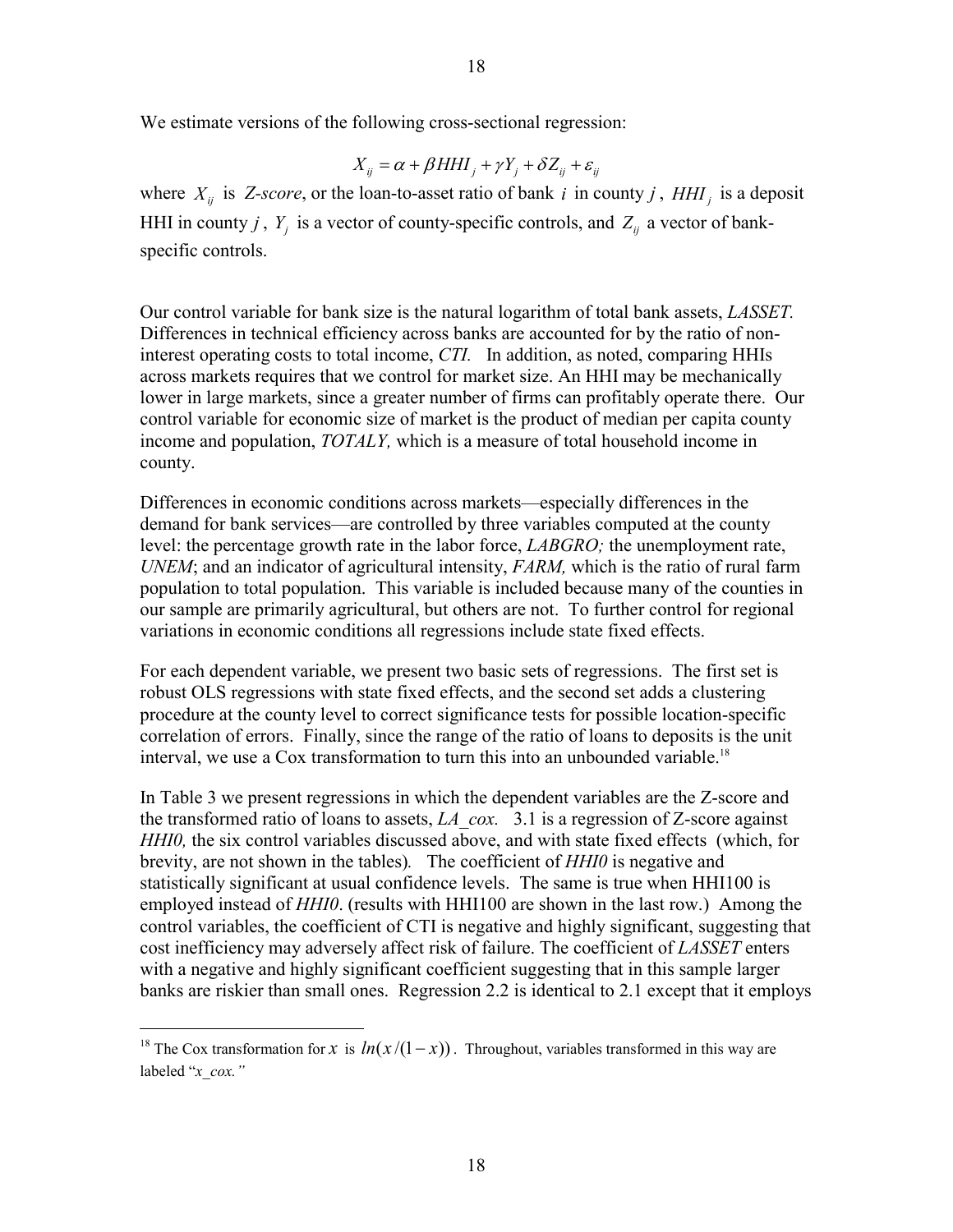We estimate versions of the following cross-sectional regression:

$$
X_{ij} = \alpha + \beta H H I_j + \gamma Y_j + \delta Z_{ij} + \varepsilon_{ij}
$$

where  $X_{ij}$  is *Z-score*, or the loan-to-asset ratio of bank *i* in county *j*, HHI<sub>i</sub> is a deposit HHI in county *j*,  $Y_j$  is a vector of county-specific controls, and  $Z_{ij}$  a vector of bankspecific controls.

Our control variable for bank size is the natural logarithm of total bank assets, *LASSET.* Differences in technical efficiency across banks are accounted for by the ratio of noninterest operating costs to total income, *CTI.* In addition, as noted, comparing HHIs across markets requires that we control for market size. An HHI may be mechanically lower in large markets, since a greater number of firms can profitably operate there. Our control variable for economic size of market is the product of median per capita county income and population, *TOTALY,* which is a measure of total household income in county.

Differences in economic conditions across markets—especially differences in the demand for bank services—are controlled by three variables computed at the county level: the percentage growth rate in the labor force, *LABGRO;* the unemployment rate, *UNEM*; and an indicator of agricultural intensity, *FARM,* which is the ratio of rural farm population to total population. This variable is included because many of the counties in our sample are primarily agricultural, but others are not. To further control for regional variations in economic conditions all regressions include state fixed effects.

For each dependent variable, we present two basic sets of regressions. The first set is robust OLS regressions with state fixed effects, and the second set adds a clustering procedure at the county level to correct significance tests for possible location-specific correlation of errors. Finally, since the range of the ratio of loans to deposits is the unit interval, we use a Cox transformation to turn this into an unbounded variable.<sup>18</sup>

In Table 3 we present regressions in which the dependent variables are the Z-score and the transformed ratio of loans to assets, *LA\_cox.* 3.1 is a regression of Z-score against *HHI0,* the six control variables discussed above, and with state fixed effects (which, for brevity, are not shown in the tables)*.* The coefficient of *HHI0* is negative and statistically significant at usual confidence levels. The same is true when HHI100 is employed instead of *HHI0*. (results with HHI100 are shown in the last row.) Among the control variables, the coefficient of CTI is negative and highly significant, suggesting that cost inefficiency may adversely affect risk of failure. The coefficient of *LASSET* enters with a negative and highly significant coefficient suggesting that in this sample larger banks are riskier than small ones. Regression 2.2 is identical to 2.1 except that it employs

<sup>&</sup>lt;sup>18</sup> The Cox transformation for *x* is  $ln(x/(1-x))$ . Throughout, variables transformed in this way are labeled "*x\_cox."*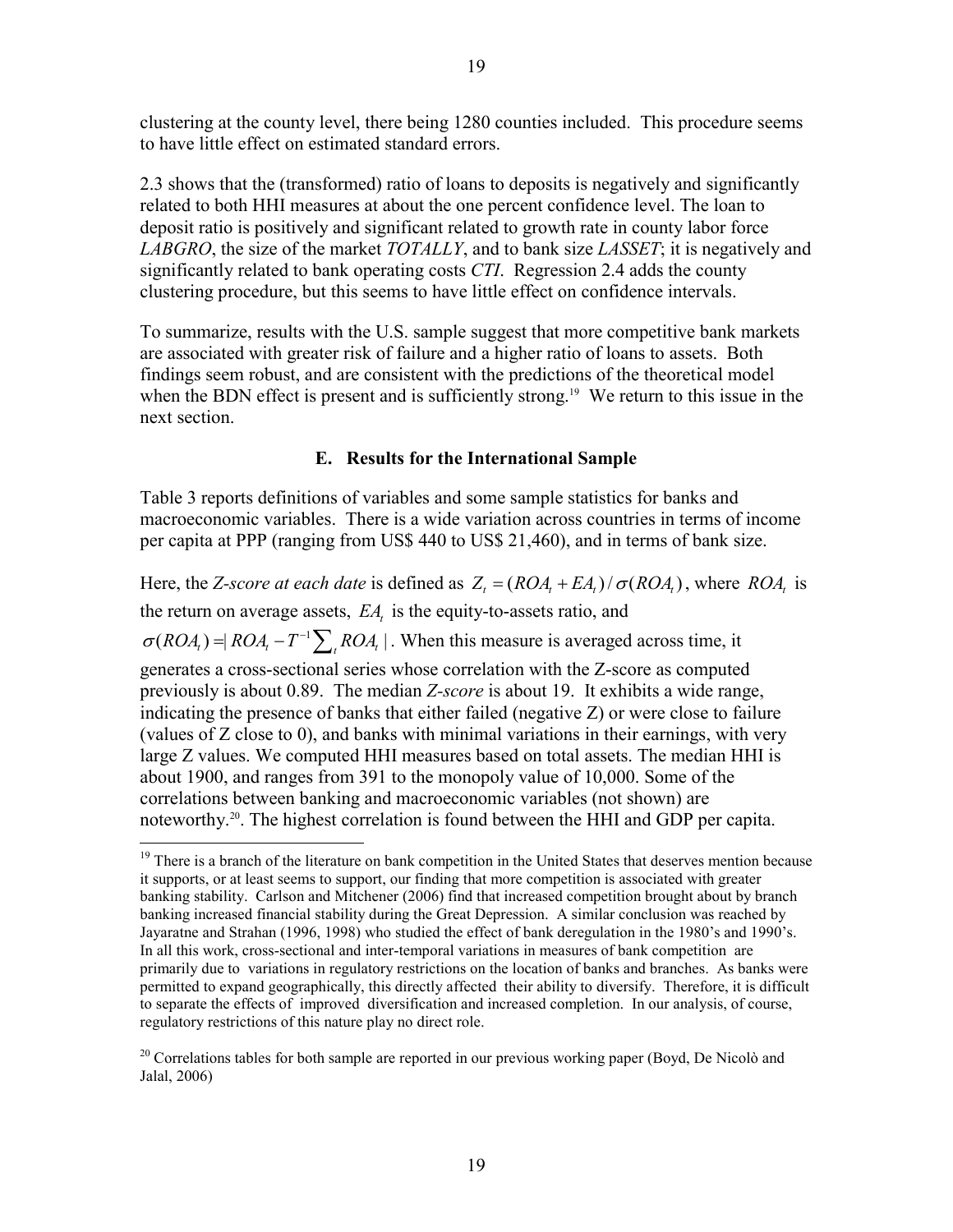clustering at the county level, there being 1280 counties included. This procedure seems to have little effect on estimated standard errors.

2.3 shows that the (transformed) ratio of loans to deposits is negatively and significantly related to both HHI measures at about the one percent confidence level. The loan to deposit ratio is positively and significant related to growth rate in county labor force *LABGRO*, the size of the market *TOTALLY*, and to bank size *LASSET*; it is negatively and significantly related to bank operating costs *CTI*. Regression 2.4 adds the county clustering procedure, but this seems to have little effect on confidence intervals.

To summarize, results with the U.S. sample suggest that more competitive bank markets are associated with greater risk of failure and a higher ratio of loans to assets. Both findings seem robust, and are consistent with the predictions of the theoretical model when the BDN effect is present and is sufficiently strong.<sup>19</sup> We return to this issue in the next section.

# **E. Results for the International Sample**

Table 3 reports definitions of variables and some sample statistics for banks and macroeconomic variables. There is a wide variation across countries in terms of income per capita at PPP (ranging from US\$ 440 to US\$ 21,460), and in terms of bank size.

Here, the *Z*-score at each date is defined as  $Z_t = (ROA_t + EA_t) / \sigma (ROA_t)$ , where *ROA*, is the return on average assets, *EA*, is the equity-to-assets ratio, and  $\sigma(ROA_i) = |ROA_i - T^{-1} \sum_{k} ROA_i|$ . When this measure is averaged across time, it generates a cross-sectional series whose correlation with the Z-score as computed previously is about 0.89. The median *Z-score* is about 19. It exhibits a wide range, indicating the presence of banks that either failed (negative Z) or were close to failure (values of Z close to 0), and banks with minimal variations in their earnings, with very large Z values. We computed HHI measures based on total assets. The median HHI is about 1900, and ranges from 391 to the monopoly value of 10,000. Some of the correlations between banking and macroeconomic variables (not shown) are noteworthy.20. The highest correlation is found between the HHI and GDP per capita.

<sup>&</sup>lt;sup>19</sup> There is a branch of the literature on bank competition in the United States that deserves mention because it supports, or at least seems to support, our finding that more competition is associated with greater banking stability. Carlson and Mitchener (2006) find that increased competition brought about by branch banking increased financial stability during the Great Depression. A similar conclusion was reached by Jayaratne and Strahan (1996, 1998) who studied the effect of bank deregulation in the 1980's and 1990's. In all this work, cross-sectional and inter-temporal variations in measures of bank competition are primarily due to variations in regulatory restrictions on the location of banks and branches. As banks were permitted to expand geographically, this directly affected their ability to diversify. Therefore, it is difficult to separate the effects of improved diversification and increased completion. In our analysis, of course, regulatory restrictions of this nature play no direct role.

<sup>&</sup>lt;sup>20</sup> Correlations tables for both sample are reported in our previous working paper (Boyd, De Nicolò and Jalal, 2006)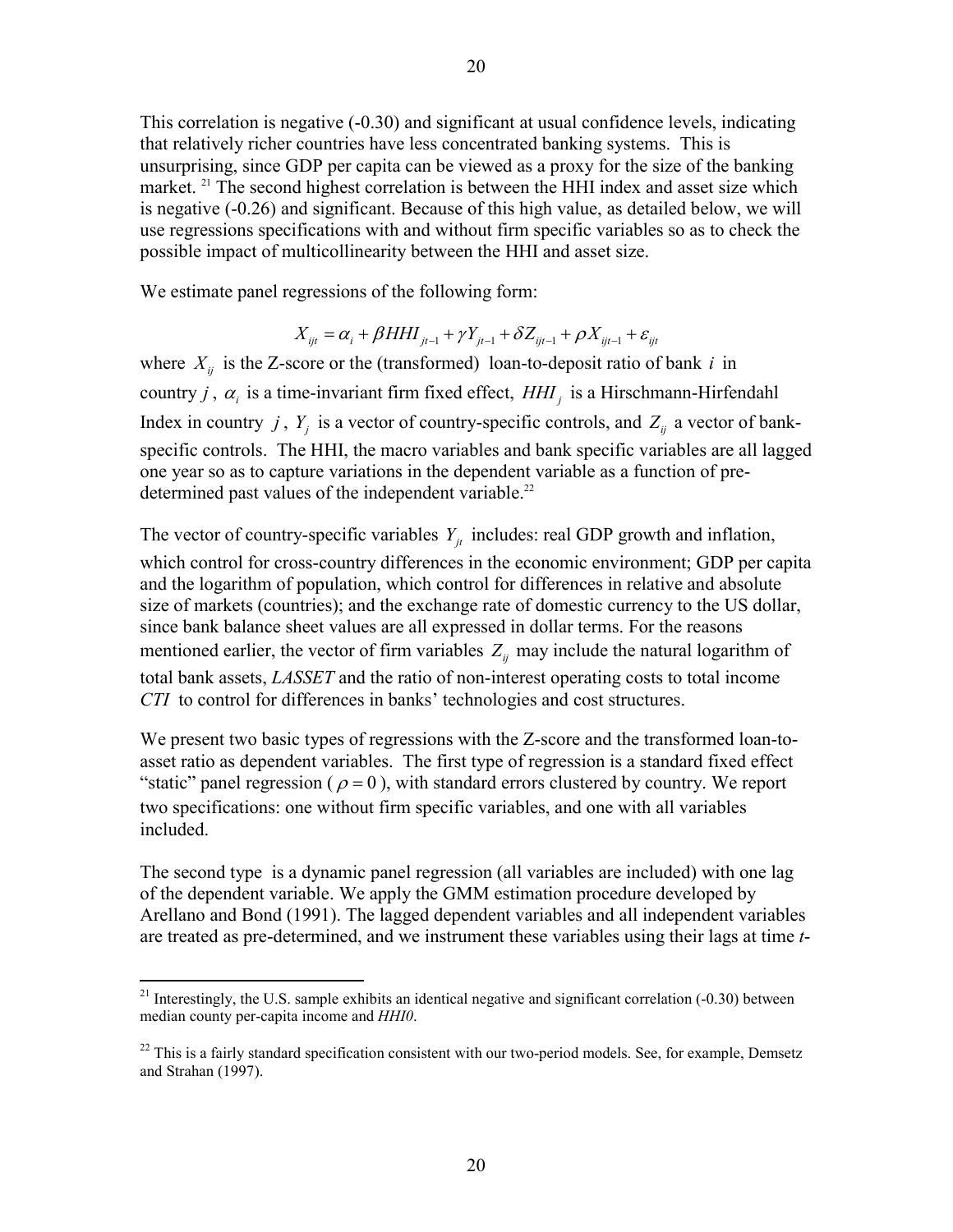This correlation is negative (-0.30) and significant at usual confidence levels, indicating that relatively richer countries have less concentrated banking systems. This is unsurprising, since GDP per capita can be viewed as a proxy for the size of the banking market.  $2<sup>1</sup>$  The second highest correlation is between the HHI index and asset size which is negative (-0.26) and significant. Because of this high value, as detailed below, we will use regressions specifications with and without firm specific variables so as to check the possible impact of multicollinearity between the HHI and asset size.

We estimate panel regressions of the following form:

$$
X_{ijt} = \alpha_i + \beta H H I_{jt-1} + \gamma Y_{jt-1} + \delta Z_{ijt-1} + \rho X_{ijt-1} + \varepsilon_{ijt}
$$

where  $X_{ij}$  is the Z-score or the (transformed) loan-to-deposit ratio of bank *i* in country *j*,  $\alpha$ <sub>*i*</sub> is a time-invariant firm fixed effect,  $HHI$ <sub>*i*</sub> is a Hirschmann-Hirfendahl Index in country *j*,  $Y_i$  is a vector of country-specific controls, and  $Z_{ij}$  a vector of bankspecific controls. The HHI, the macro variables and bank specific variables are all lagged one year so as to capture variations in the dependent variable as a function of predetermined past values of the independent variable.<sup>22</sup>

The vector of country-specific variables  $Y_{it}$  includes: real GDP growth and inflation, which control for cross-country differences in the economic environment; GDP per capita and the logarithm of population, which control for differences in relative and absolute size of markets (countries); and the exchange rate of domestic currency to the US dollar, since bank balance sheet values are all expressed in dollar terms. For the reasons mentioned earlier, the vector of firm variables  $Z_{ij}$  may include the natural logarithm of total bank assets, *LASSET* and the ratio of non-interest operating costs to total income *CTI* to control for differences in banks' technologies and cost structures.

We present two basic types of regressions with the Z-score and the transformed loan-toasset ratio as dependent variables. The first type of regression is a standard fixed effect "static" panel regression ( $\rho = 0$ ), with standard errors clustered by country. We report two specifications: one without firm specific variables, and one with all variables included.

The second type is a dynamic panel regression (all variables are included) with one lag of the dependent variable. We apply the GMM estimation procedure developed by Arellano and Bond (1991). The lagged dependent variables and all independent variables are treated as pre-determined, and we instrument these variables using their lags at time *t*-

<sup>&</sup>lt;sup>21</sup> Interestingly, the U.S. sample exhibits an identical negative and significant correlation  $(-0.30)$  between median county per-capita income and *HHI0*.

 $^{22}$  This is a fairly standard specification consistent with our two-period models. See, for example, Demsetz and Strahan (1997).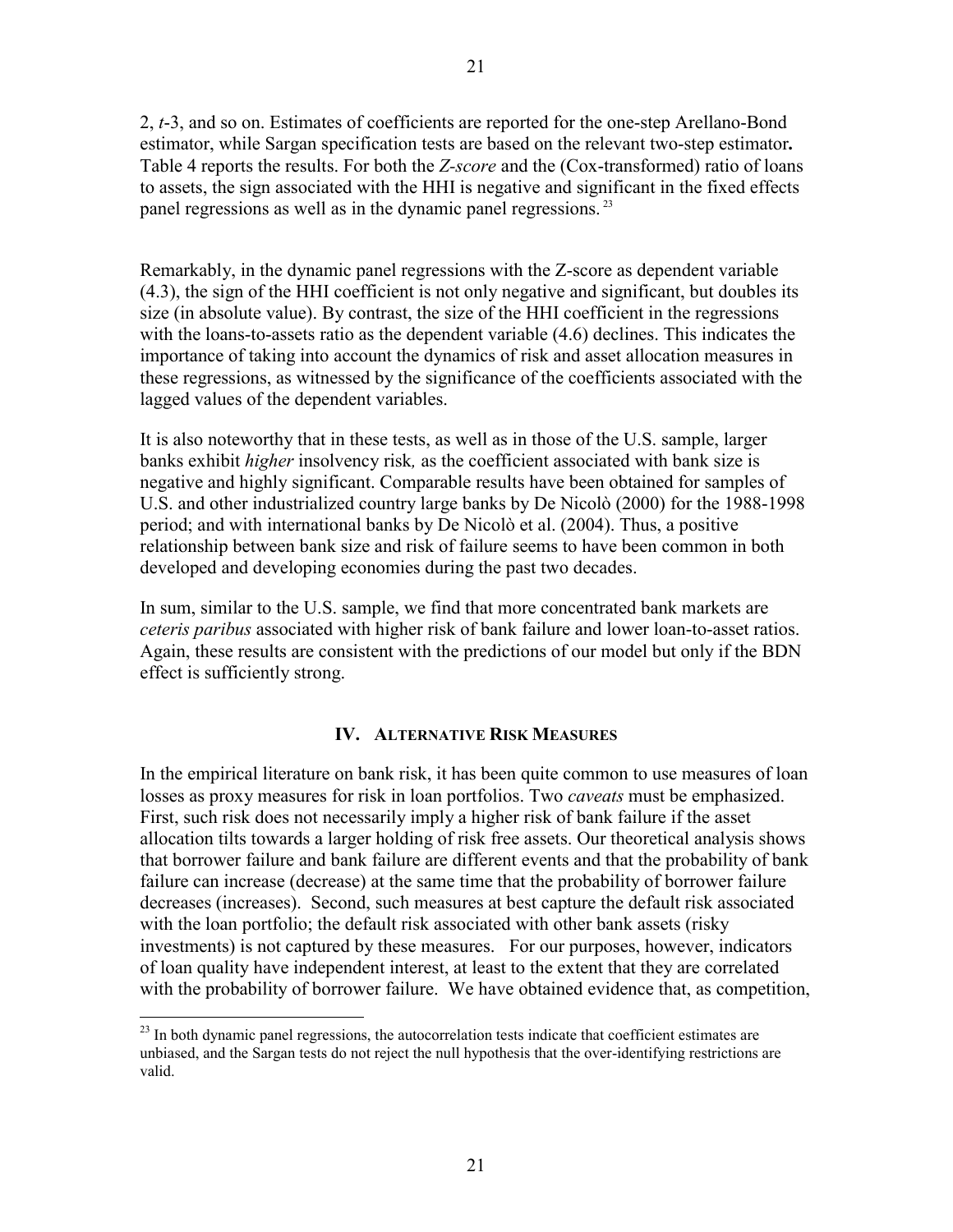2, *t*-3, and so on. Estimates of coefficients are reported for the one-step Arellano-Bond estimator, while Sargan specification tests are based on the relevant two-step estimator**.**  Table 4 reports the results. For both the *Z-score* and the (Cox-transformed) ratio of loans to assets, the sign associated with the HHI is negative and significant in the fixed effects panel regressions as well as in the dynamic panel regressions. 23

Remarkably, in the dynamic panel regressions with the Z-score as dependent variable (4.3), the sign of the HHI coefficient is not only negative and significant, but doubles its size (in absolute value). By contrast, the size of the HHI coefficient in the regressions with the loans-to-assets ratio as the dependent variable (4.6) declines. This indicates the importance of taking into account the dynamics of risk and asset allocation measures in these regressions, as witnessed by the significance of the coefficients associated with the lagged values of the dependent variables.

It is also noteworthy that in these tests, as well as in those of the U.S. sample, larger banks exhibit *higher* insolvency risk*,* as the coefficient associated with bank size is negative and highly significant. Comparable results have been obtained for samples of U.S. and other industrialized country large banks by De Nicolò (2000) for the 1988-1998 period; and with international banks by De Nicolò et al. (2004). Thus, a positive relationship between bank size and risk of failure seems to have been common in both developed and developing economies during the past two decades.

In sum, similar to the U.S. sample, we find that more concentrated bank markets are *ceteris paribus* associated with higher risk of bank failure and lower loan-to-asset ratios. Again, these results are consistent with the predictions of our model but only if the BDN effect is sufficiently strong.

## **IV. ALTERNATIVE RISK MEASURES**

In the empirical literature on bank risk, it has been quite common to use measures of loan losses as proxy measures for risk in loan portfolios. Two *caveats* must be emphasized. First, such risk does not necessarily imply a higher risk of bank failure if the asset allocation tilts towards a larger holding of risk free assets. Our theoretical analysis shows that borrower failure and bank failure are different events and that the probability of bank failure can increase (decrease) at the same time that the probability of borrower failure decreases (increases). Second, such measures at best capture the default risk associated with the loan portfolio; the default risk associated with other bank assets (risky investments) is not captured by these measures. For our purposes, however, indicators of loan quality have independent interest, at least to the extent that they are correlated with the probability of borrower failure. We have obtained evidence that, as competition,

 $2<sup>23</sup>$  In both dynamic panel regressions, the autocorrelation tests indicate that coefficient estimates are unbiased, and the Sargan tests do not reject the null hypothesis that the over-identifying restrictions are valid.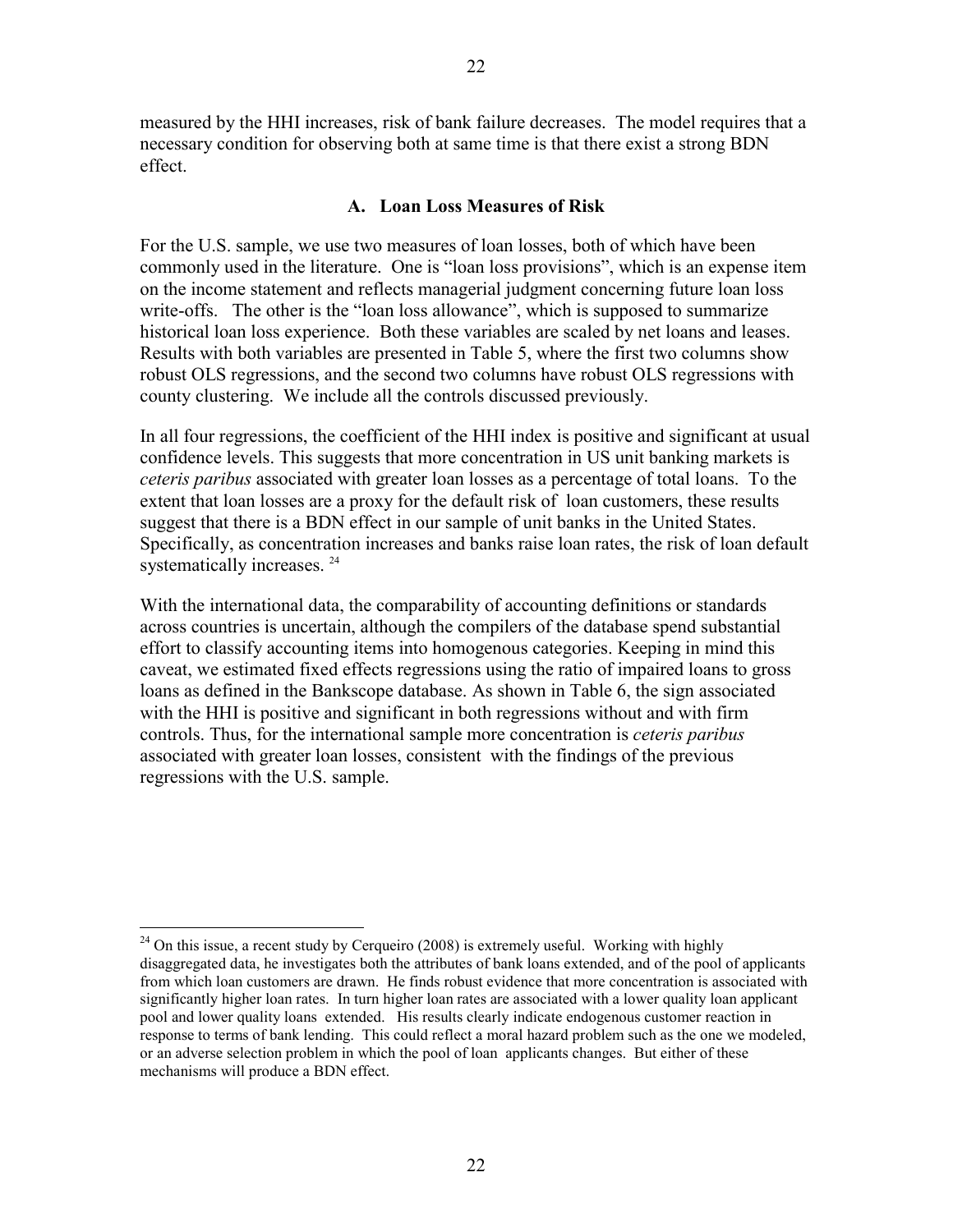measured by the HHI increases, risk of bank failure decreases. The model requires that a necessary condition for observing both at same time is that there exist a strong BDN effect.

## **A. Loan Loss Measures of Risk**

For the U.S. sample, we use two measures of loan losses, both of which have been commonly used in the literature. One is "loan loss provisions", which is an expense item on the income statement and reflects managerial judgment concerning future loan loss write-offs. The other is the "loan loss allowance", which is supposed to summarize historical loan loss experience. Both these variables are scaled by net loans and leases. Results with both variables are presented in Table 5, where the first two columns show robust OLS regressions, and the second two columns have robust OLS regressions with county clustering. We include all the controls discussed previously.

In all four regressions, the coefficient of the HHI index is positive and significant at usual confidence levels. This suggests that more concentration in US unit banking markets is *ceteris paribus* associated with greater loan losses as a percentage of total loans. To the extent that loan losses are a proxy for the default risk of loan customers, these results suggest that there is a BDN effect in our sample of unit banks in the United States. Specifically, as concentration increases and banks raise loan rates, the risk of loan default systematically increases. <sup>24</sup>

With the international data, the comparability of accounting definitions or standards across countries is uncertain, although the compilers of the database spend substantial effort to classify accounting items into homogenous categories. Keeping in mind this caveat, we estimated fixed effects regressions using the ratio of impaired loans to gross loans as defined in the Bankscope database. As shown in Table 6, the sign associated with the HHI is positive and significant in both regressions without and with firm controls. Thus, for the international sample more concentration is *ceteris paribus*  associated with greater loan losses, consistent with the findings of the previous regressions with the U.S. sample.

 $24$  On this issue, a recent study by Cerqueiro (2008) is extremely useful. Working with highly disaggregated data, he investigates both the attributes of bank loans extended, and of the pool of applicants from which loan customers are drawn. He finds robust evidence that more concentration is associated with significantly higher loan rates. In turn higher loan rates are associated with a lower quality loan applicant pool and lower quality loans extended. His results clearly indicate endogenous customer reaction in response to terms of bank lending. This could reflect a moral hazard problem such as the one we modeled, or an adverse selection problem in which the pool of loan applicants changes. But either of these mechanisms will produce a BDN effect.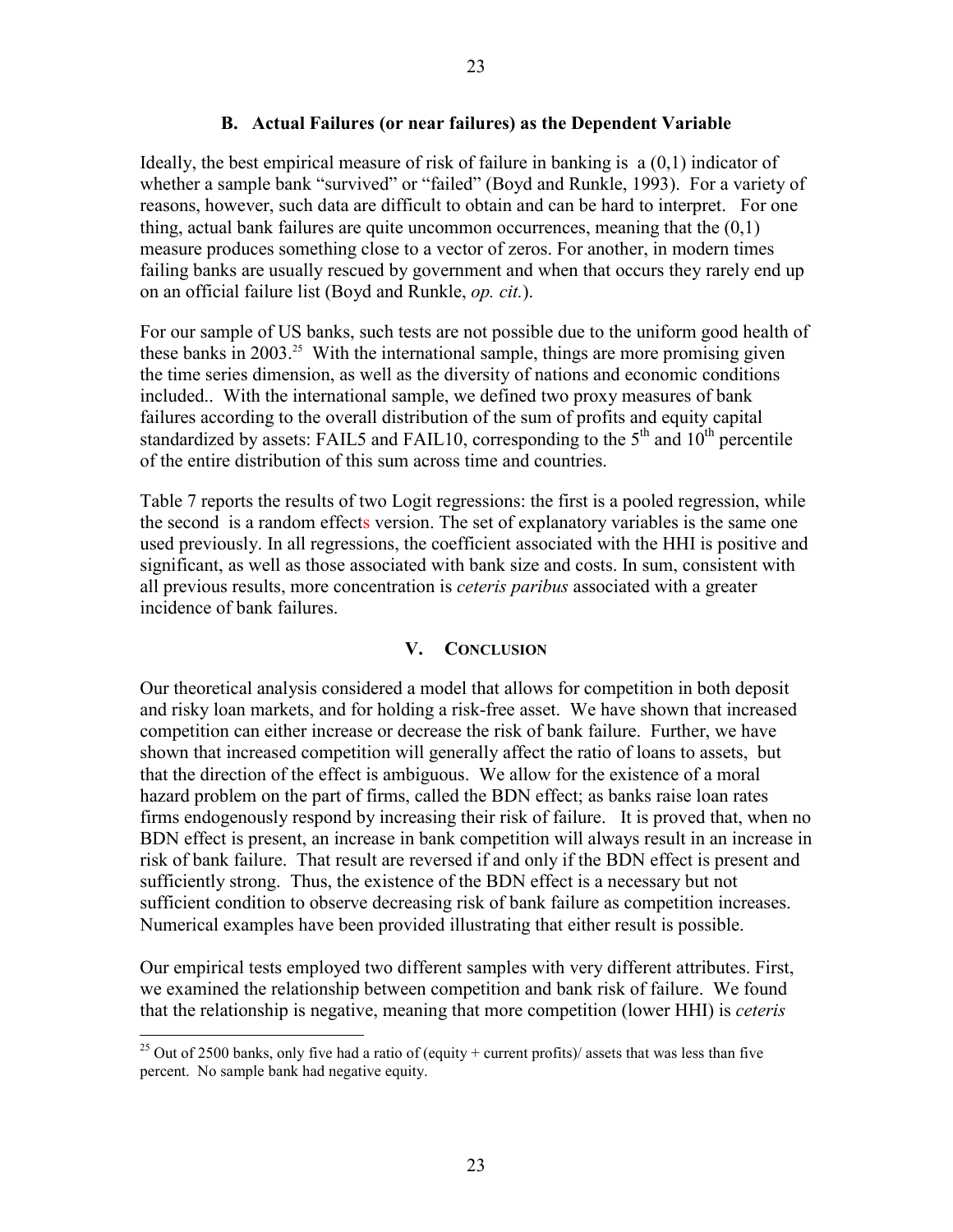## **B. Actual Failures (or near failures) as the Dependent Variable**

Ideally, the best empirical measure of risk of failure in banking is a (0,1) indicator of whether a sample bank "survived" or "failed" (Boyd and Runkle, 1993). For a variety of reasons, however, such data are difficult to obtain and can be hard to interpret. For one thing, actual bank failures are quite uncommon occurrences, meaning that the  $(0,1)$ measure produces something close to a vector of zeros. For another, in modern times failing banks are usually rescued by government and when that occurs they rarely end up on an official failure list (Boyd and Runkle, *op. cit.*).

For our sample of US banks, such tests are not possible due to the uniform good health of these banks in 2003.<sup>25</sup> With the international sample, things are more promising given the time series dimension, as well as the diversity of nations and economic conditions included.. With the international sample, we defined two proxy measures of bank failures according to the overall distribution of the sum of profits and equity capital standardized by assets: FAIL5 and FAIL10, corresponding to the  $5<sup>th</sup>$  and  $10<sup>th</sup>$  percentile of the entire distribution of this sum across time and countries.

Table 7 reports the results of two Logit regressions: the first is a pooled regression, while the second is a random effects version. The set of explanatory variables is the same one used previously. In all regressions, the coefficient associated with the HHI is positive and significant, as well as those associated with bank size and costs. In sum, consistent with all previous results, more concentration is *ceteris paribus* associated with a greater incidence of bank failures.

## **V. CONCLUSION**

Our theoretical analysis considered a model that allows for competition in both deposit and risky loan markets, and for holding a risk-free asset. We have shown that increased competition can either increase or decrease the risk of bank failure. Further, we have shown that increased competition will generally affect the ratio of loans to assets, but that the direction of the effect is ambiguous. We allow for the existence of a moral hazard problem on the part of firms, called the BDN effect; as banks raise loan rates firms endogenously respond by increasing their risk of failure. It is proved that, when no BDN effect is present, an increase in bank competition will always result in an increase in risk of bank failure. That result are reversed if and only if the BDN effect is present and sufficiently strong. Thus, the existence of the BDN effect is a necessary but not sufficient condition to observe decreasing risk of bank failure as competition increases. Numerical examples have been provided illustrating that either result is possible.

Our empirical tests employed two different samples with very different attributes. First, we examined the relationship between competition and bank risk of failure. We found that the relationship is negative, meaning that more competition (lower HHI) is *ceteris* 

<sup>&</sup>lt;sup>25</sup> Out of 2500 banks, only five had a ratio of (equity + current profits)/ assets that was less than five percent. No sample bank had negative equity.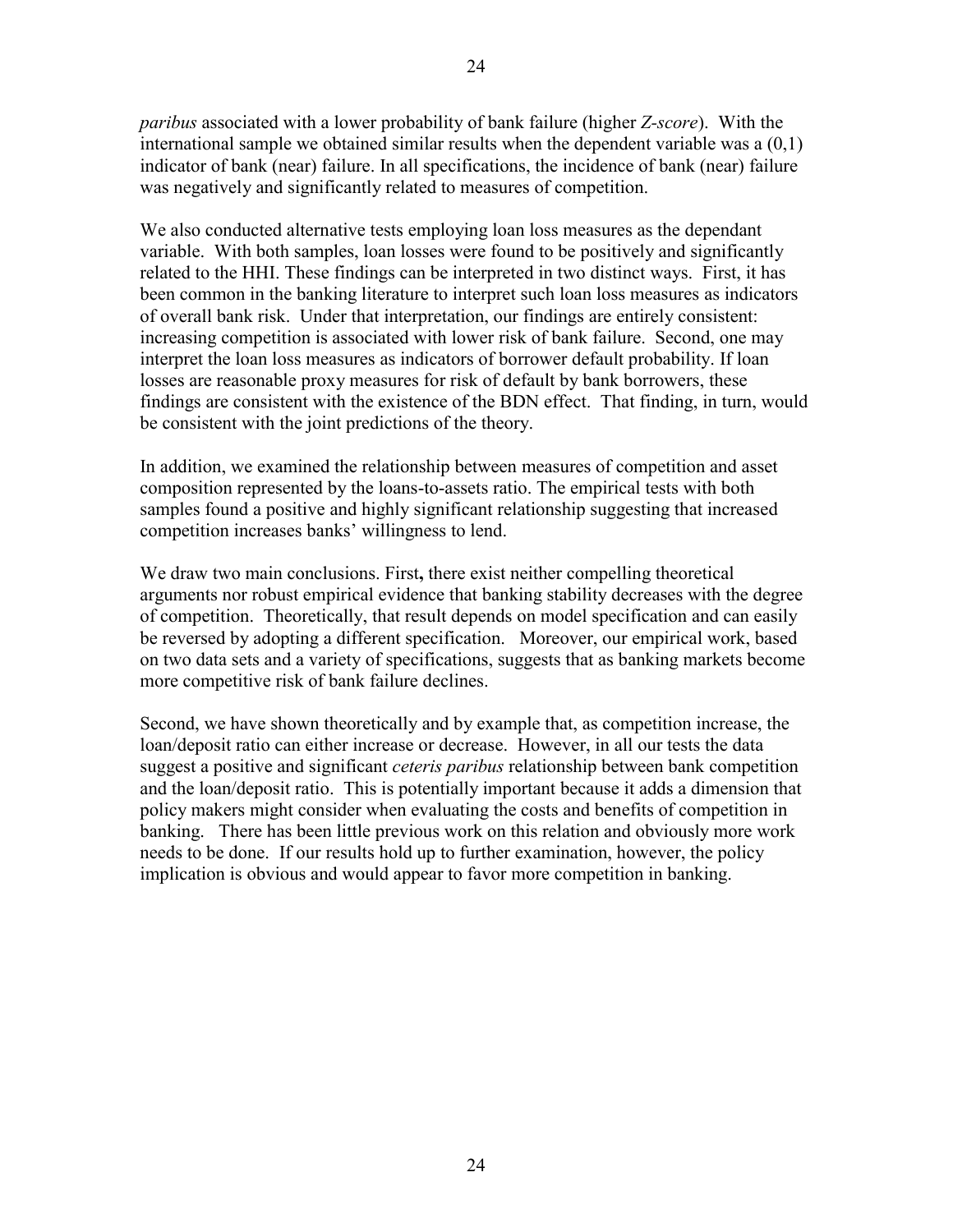*paribus* associated with a lower probability of bank failure (higher *Z-score*). With the international sample we obtained similar results when the dependent variable was a (0,1) indicator of bank (near) failure. In all specifications, the incidence of bank (near) failure was negatively and significantly related to measures of competition.

We also conducted alternative tests employing loan loss measures as the dependant variable. With both samples, loan losses were found to be positively and significantly related to the HHI. These findings can be interpreted in two distinct ways. First, it has been common in the banking literature to interpret such loan loss measures as indicators of overall bank risk. Under that interpretation, our findings are entirely consistent: increasing competition is associated with lower risk of bank failure. Second, one may interpret the loan loss measures as indicators of borrower default probability. If loan losses are reasonable proxy measures for risk of default by bank borrowers, these findings are consistent with the existence of the BDN effect. That finding, in turn, would be consistent with the joint predictions of the theory.

In addition, we examined the relationship between measures of competition and asset composition represented by the loans-to-assets ratio. The empirical tests with both samples found a positive and highly significant relationship suggesting that increased competition increases banks' willingness to lend.

We draw two main conclusions. First**,** there exist neither compelling theoretical arguments nor robust empirical evidence that banking stability decreases with the degree of competition. Theoretically, that result depends on model specification and can easily be reversed by adopting a different specification. Moreover, our empirical work, based on two data sets and a variety of specifications, suggests that as banking markets become more competitive risk of bank failure declines.

Second, we have shown theoretically and by example that, as competition increase, the loan/deposit ratio can either increase or decrease. However, in all our tests the data suggest a positive and significant *ceteris paribus* relationship between bank competition and the loan/deposit ratio. This is potentially important because it adds a dimension that policy makers might consider when evaluating the costs and benefits of competition in banking. There has been little previous work on this relation and obviously more work needs to be done. If our results hold up to further examination, however, the policy implication is obvious and would appear to favor more competition in banking.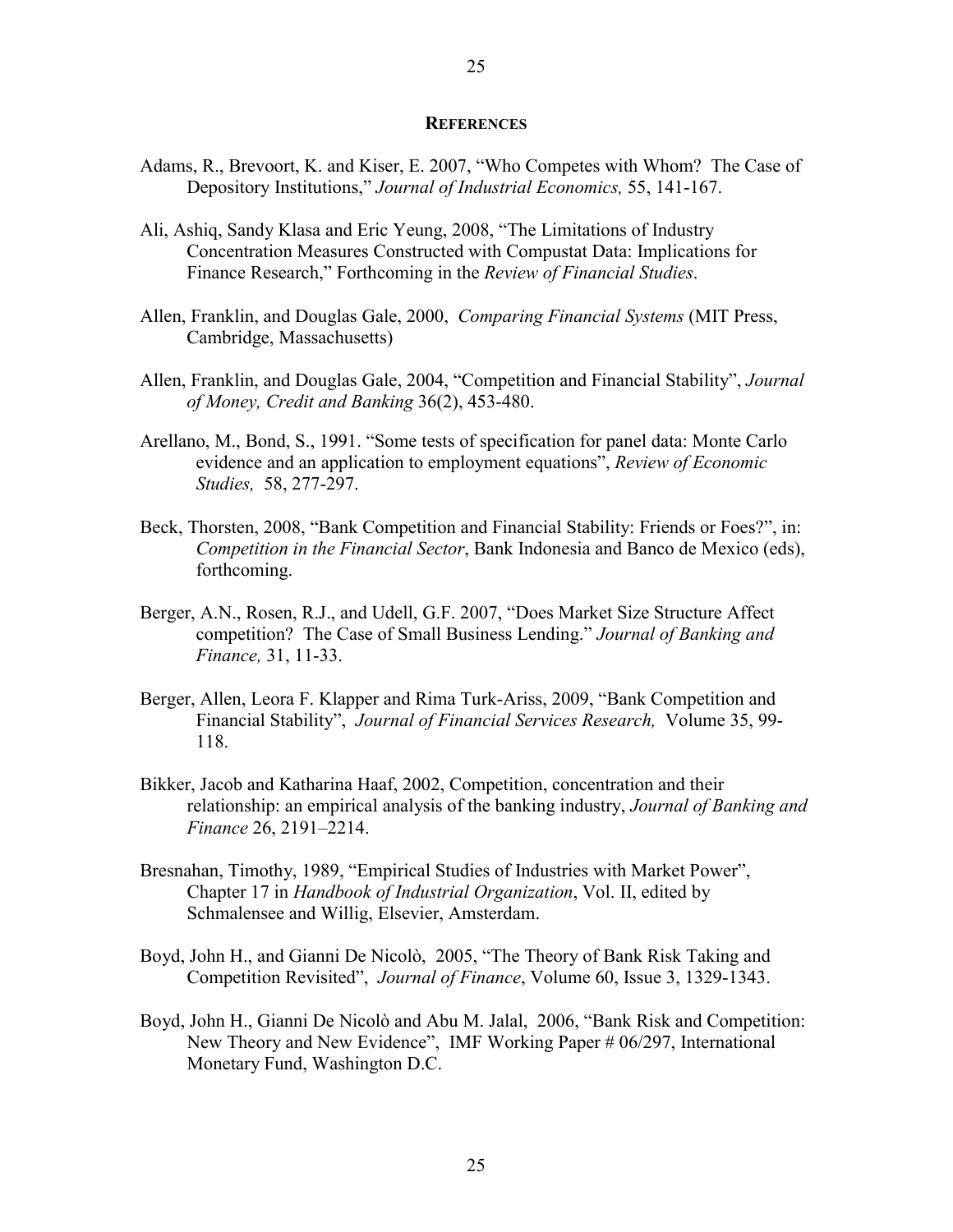#### **REFERENCES**

- Adams, R., Brevoort, K. and Kiser, E. 2007, "Who Competes with Whom? The Case of Depository Institutions," *Journal of Industrial Economics,* 55, 141-167.
- Ali, Ashiq, Sandy Klasa and Eric Yeung, 2008, "The Limitations of Industry Concentration Measures Constructed with Compustat Data: Implications for Finance Research," Forthcoming in the *Review of Financial Studies*.
- Allen, Franklin, and Douglas Gale, 2000, *Comparing Financial Systems* (MIT Press, Cambridge, Massachusetts)
- Allen, Franklin, and Douglas Gale, 2004, "Competition and Financial Stability", *Journal of Money, Credit and Banking* 36(2), 453-480.
- Arellano, M., Bond, S., 1991. "Some tests of specification for panel data: Monte Carlo evidence and an application to employment equations", *Review of Economic Studies,* 58, 277-297.
- Beck, Thorsten, 2008, "Bank Competition and Financial Stability: Friends or Foes?", in: *Competition in the Financial Sector*, Bank Indonesia and Banco de Mexico (eds), forthcoming.
- Berger, A.N., Rosen, R.J., and Udell, G.F. 2007, "Does Market Size Structure Affect competition? The Case of Small Business Lending." *Journal of Banking and Finance,* 31, 11-33.
- Berger, Allen, Leora F. Klapper and Rima Turk-Ariss, 2009, "Bank Competition and Financial Stability", *Journal of Financial Services Research,* Volume 35, 99- 118.
- Bikker, Jacob and Katharina Haaf, 2002, Competition, concentration and their relationship: an empirical analysis of the banking industry, *Journal of Banking and Finance* 26, 2191–2214.
- Bresnahan, Timothy, 1989, "Empirical Studies of Industries with Market Power", Chapter 17 in *Handbook of Industrial Organization*, Vol. II, edited by Schmalensee and Willig, Elsevier, Amsterdam.
- Boyd, John H., and Gianni De Nicolò, 2005, "The Theory of Bank Risk Taking and Competition Revisited", *Journal of Finance*, Volume 60, Issue 3, 1329-1343.
- Boyd, John H., Gianni De Nicolò and Abu M. Jalal, 2006, "Bank Risk and Competition: New Theory and New Evidence", IMF Working Paper # 06/297, International Monetary Fund, Washington D.C.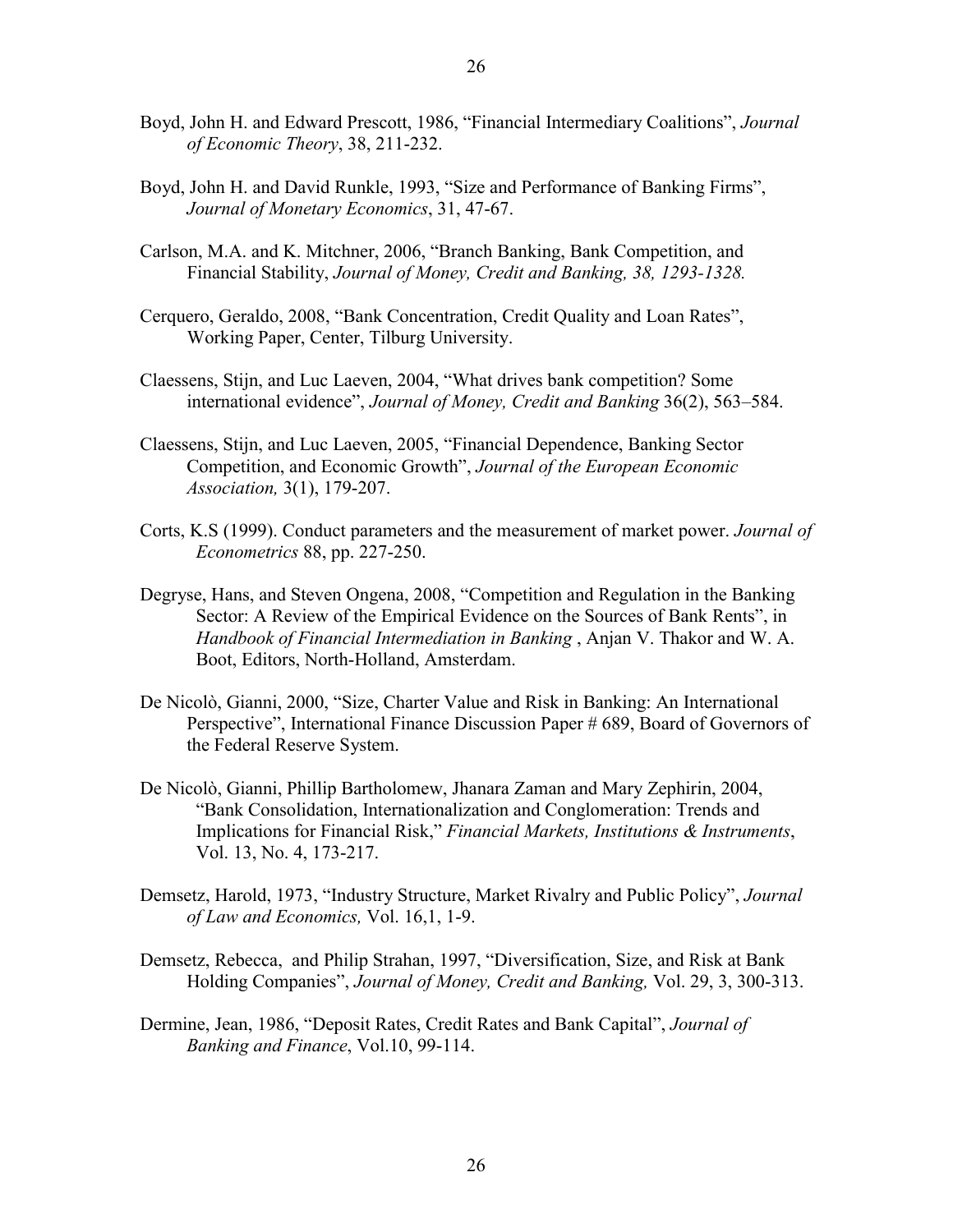- Boyd, John H. and Edward Prescott, 1986, "Financial Intermediary Coalitions", *Journal of Economic Theory*, 38, 211-232.
- Boyd, John H. and David Runkle, 1993, "Size and Performance of Banking Firms", *Journal of Monetary Economics*, 31, 47-67.
- Carlson, M.A. and K. Mitchner, 2006, "Branch Banking, Bank Competition, and Financial Stability, *Journal of Money, Credit and Banking, 38, 1293-1328.*
- Cerquero, Geraldo, 2008, "Bank Concentration, Credit Quality and Loan Rates", Working Paper, Center, Tilburg University.
- Claessens, Stijn, and Luc Laeven, 2004, "What drives bank competition? Some international evidence", *Journal of Money, Credit and Banking* 36(2), 563–584.
- Claessens, Stijn, and Luc Laeven, 2005, "Financial Dependence, Banking Sector Competition, and Economic Growth", *Journal of the European Economic Association,* 3(1), 179-207.
- Corts, K.S (1999). Conduct parameters and the measurement of market power. *Journal of Econometrics* 88, pp. 227-250.
- Degryse, Hans, and Steven Ongena, 2008, "Competition and Regulation in the Banking Sector: A Review of the Empirical Evidence on the Sources of Bank Rents", in *Handbook of Financial Intermediation in Banking* , Anjan V. Thakor and W. A. Boot, Editors, North-Holland, Amsterdam.
- De Nicolò, Gianni, 2000, "Size, Charter Value and Risk in Banking: An International Perspective", International Finance Discussion Paper # 689, Board of Governors of the Federal Reserve System.
- De Nicolò, Gianni, Phillip Bartholomew, Jhanara Zaman and Mary Zephirin, 2004, "Bank Consolidation, Internationalization and Conglomeration: Trends and Implications for Financial Risk," *Financial Markets, Institutions & Instruments*, Vol. 13, No. 4, 173-217.
- Demsetz, Harold, 1973, "Industry Structure, Market Rivalry and Public Policy", *Journal of Law and Economics,* Vol. 16,1, 1-9.
- Demsetz, Rebecca, and Philip Strahan, 1997, "Diversification, Size, and Risk at Bank Holding Companies", *Journal of Money, Credit and Banking,* Vol. 29, 3, 300-313.
- Dermine, Jean, 1986, "Deposit Rates, Credit Rates and Bank Capital", *Journal of Banking and Finance*, Vol.10, 99-114.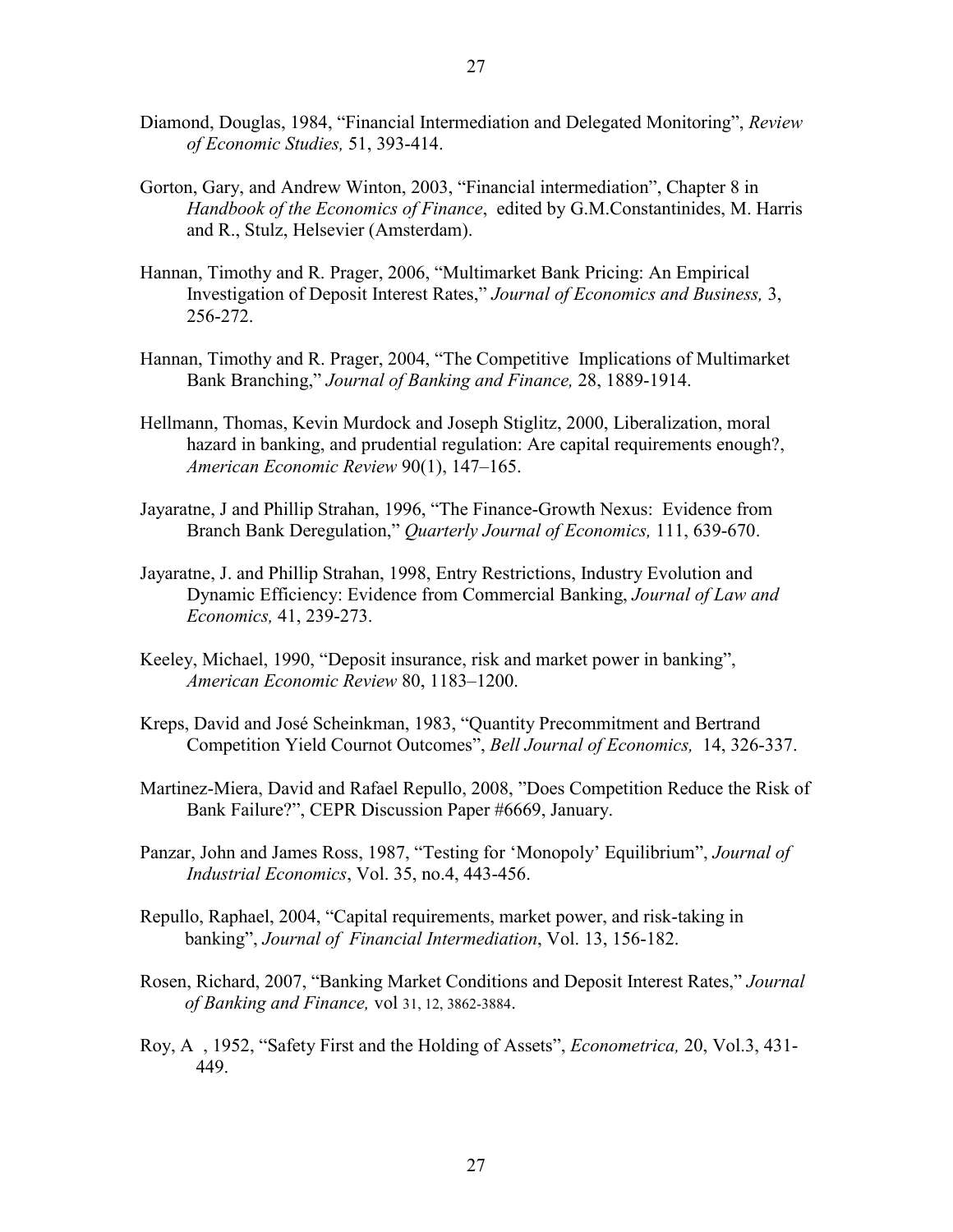- Diamond, Douglas, 1984, "Financial Intermediation and Delegated Monitoring", *Review of Economic Studies,* 51, 393-414.
- Gorton, Gary, and Andrew Winton, 2003, "Financial intermediation", Chapter 8 in *Handbook of the Economics of Finance*, edited by G.M.Constantinides, M. Harris and R., Stulz, Helsevier (Amsterdam).
- Hannan, Timothy and R. Prager, 2006, "Multimarket Bank Pricing: An Empirical Investigation of Deposit Interest Rates," *Journal of Economics and Business,* 3, 256-272.
- Hannan, Timothy and R. Prager, 2004, "The Competitive Implications of Multimarket Bank Branching," *Journal of Banking and Finance,* 28, 1889-1914.
- Hellmann, Thomas, Kevin Murdock and Joseph Stiglitz, 2000, Liberalization, moral hazard in banking, and prudential regulation: Are capital requirements enough?, *American Economic Review* 90(1), 147–165.
- Jayaratne, J and Phillip Strahan, 1996, "The Finance-Growth Nexus: Evidence from Branch Bank Deregulation," *Quarterly Journal of Economics,* 111, 639-670.
- Jayaratne, J. and Phillip Strahan, 1998, Entry Restrictions, Industry Evolution and Dynamic Efficiency: Evidence from Commercial Banking, *Journal of Law and Economics,* 41, 239-273.
- Keeley, Michael, 1990, "Deposit insurance, risk and market power in banking", *American Economic Review* 80, 1183–1200.
- Kreps, David and José Scheinkman, 1983, "Quantity Precommitment and Bertrand Competition Yield Cournot Outcomes", *Bell Journal of Economics,* 14, 326-337.
- Martinez-Miera, David and Rafael Repullo, 2008, "Does Competition Reduce the Risk of Bank Failure?", CEPR Discussion Paper #6669, January.
- Panzar, John and James Ross, 1987, "Testing for 'Monopoly' Equilibrium", *Journal of Industrial Economics*, Vol. 35, no.4, 443-456.
- Repullo, Raphael, 2004, "Capital requirements, market power, and risk-taking in banking", *Journal of Financial Intermediation*, Vol. 13, 156-182.
- Rosen, Richard, 2007, "Banking Market Conditions and Deposit Interest Rates," *Journal of Banking and Finance,* vol 31, 12, 3862-3884.
- Roy, A , 1952, "Safety First and the Holding of Assets", *Econometrica,* 20, Vol.3, 431- 449.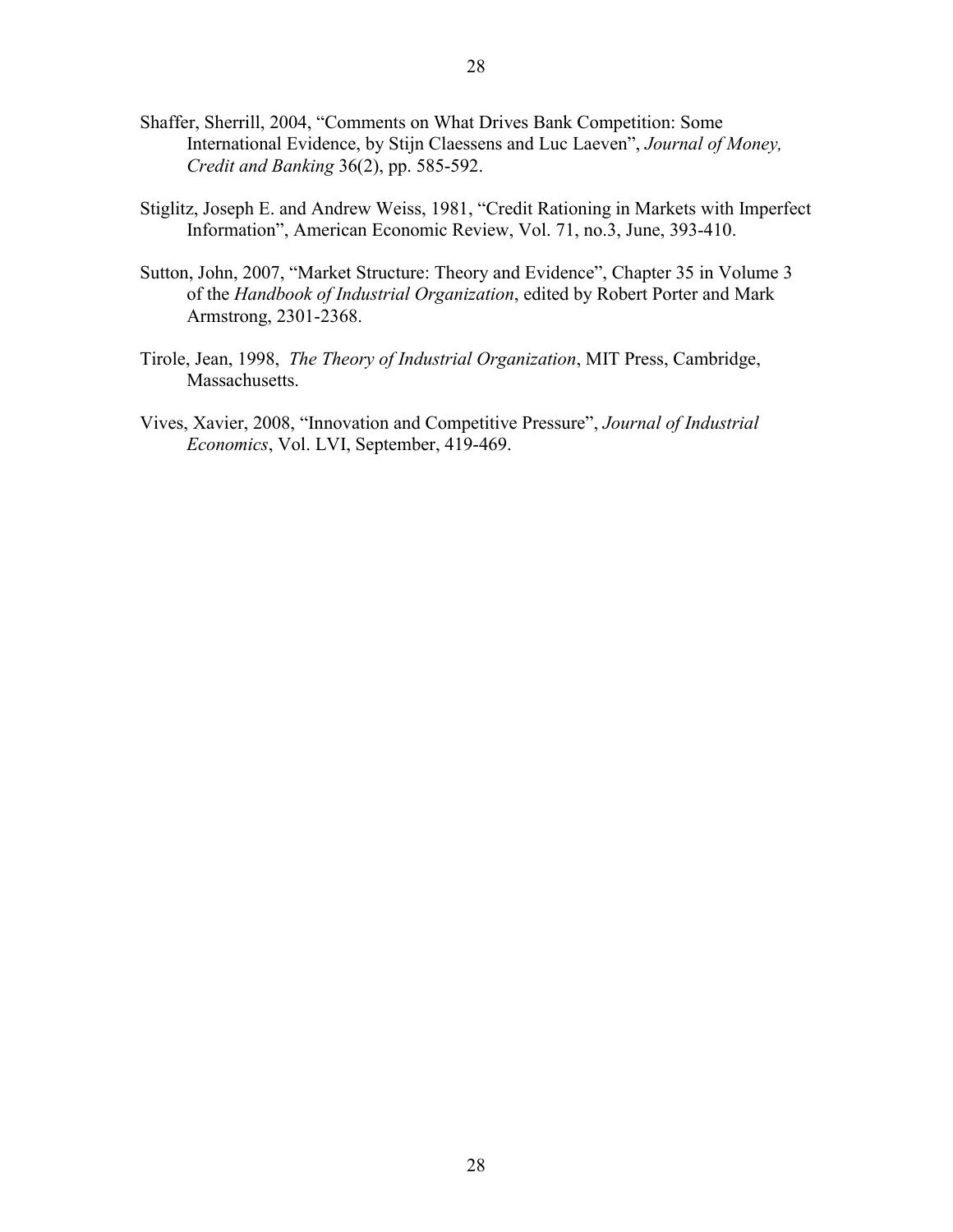- Shaffer, Sherrill, 2004, "Comments on What Drives Bank Competition: Some International Evidence, by Stijn Claessens and Luc Laeven", *Journal of Money, Credit and Banking* 36(2), pp. 585-592.
- Stiglitz, Joseph E. and Andrew Weiss, 1981, "Credit Rationing in Markets with Imperfect Information", American Economic Review, Vol. 71, no.3, June, 393-410.
- Sutton, John, 2007, "Market Structure: Theory and Evidence", Chapter 35 in Volume 3 of the *Handbook of Industrial Organization*, edited by Robert Porter and Mark Armstrong, 2301-2368.
- Tirole, Jean, 1998, *The Theory of Industrial Organization*, MIT Press, Cambridge, Massachusetts.
- Vives, Xavier, 2008, "Innovation and Competitive Pressure", *Journal of Industrial Economics*, Vol. LVI, September, 419-469.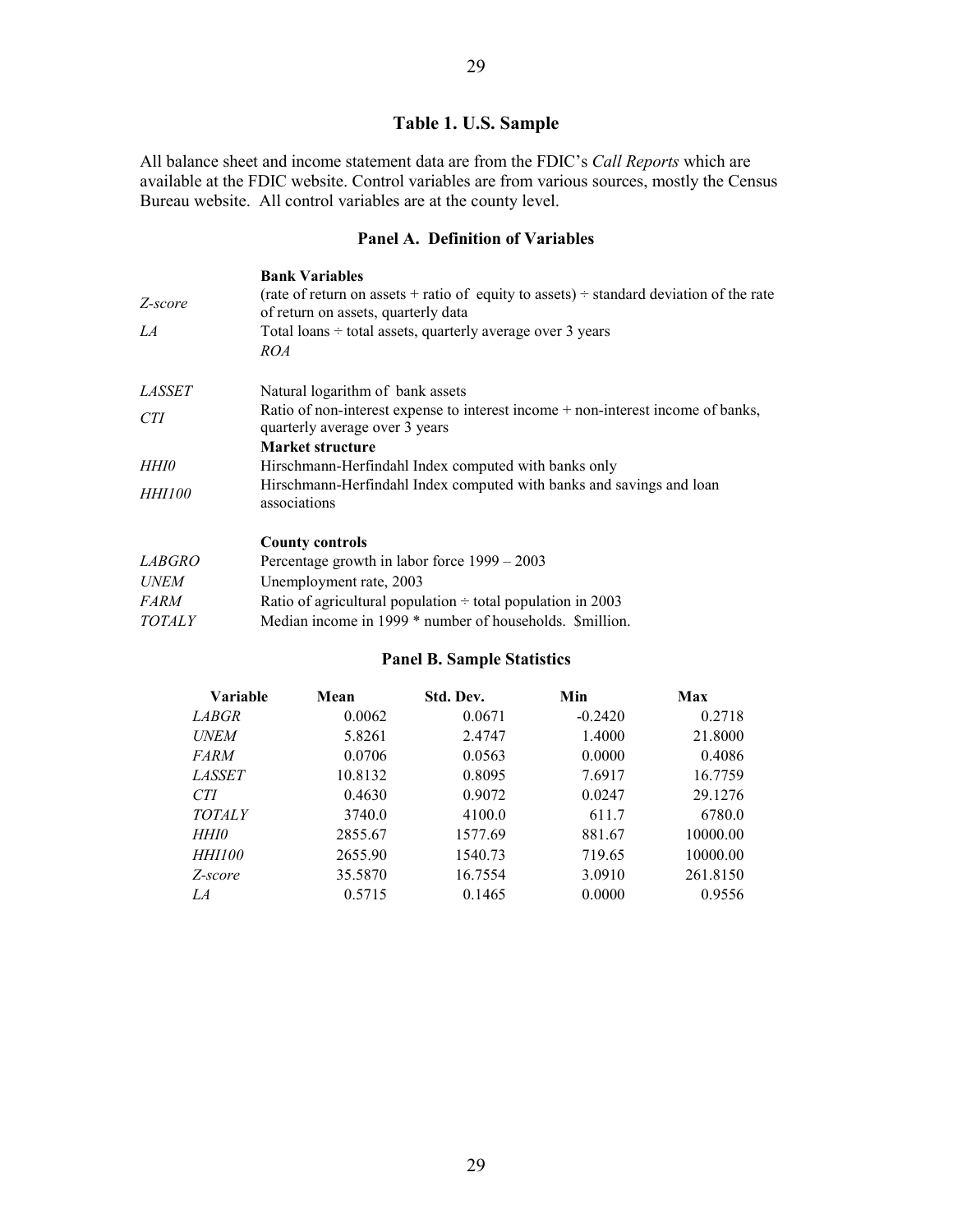# **Table 1. U.S. Sample**

All balance sheet and income statement data are from the FDIC's *Call Reports* which are available at the FDIC website. Control variables are from various sources, mostly the Census Bureau website. All control variables are at the county level.

## **Panel A. Definition of Variables**

| <b>Bank Variables</b>                                                                                                               |
|-------------------------------------------------------------------------------------------------------------------------------------|
| (rate of return on assets + ratio of equity to assets) $\div$ standard deviation of the rate<br>of return on assets, quarterly data |
| Total loans $\div$ total assets, quarterly average over 3 years                                                                     |
| <i>ROA</i>                                                                                                                          |
| Natural logarithm of bank assets                                                                                                    |
| Ratio of non-interest expense to interest income + non-interest income of banks,<br>quarterly average over 3 years                  |
| Market structure                                                                                                                    |
| Hirschmann-Herfindahl Index computed with banks only                                                                                |
| Hirschmann-Herfindahl Index computed with banks and savings and loan<br>associations                                                |
| <b>County controls</b>                                                                                                              |
| Percentage growth in labor force $1999 - 2003$                                                                                      |
| Unemployment rate, 2003                                                                                                             |
| Ratio of agricultural population $\div$ total population in 2003                                                                    |
| Median income in 1999 * number of households. Smillion.                                                                             |
|                                                                                                                                     |

## **Panel B. Sample Statistics**

| Variable      | Mean    | Std. Dev. | Min       | Max      |
|---------------|---------|-----------|-----------|----------|
| <i>LABGR</i>  | 0.0062  | 0.0671    | $-0.2420$ | 0.2718   |
| <b>UNEM</b>   | 5.8261  | 2.4747    | 1.4000    | 21.8000  |
| <i>FARM</i>   | 0.0706  | 0.0563    | 0.0000    | 0.4086   |
| <i>LASSET</i> | 10.8132 | 0.8095    | 7.6917    | 16.7759  |
| <b>CTI</b>    | 0.4630  | 0.9072    | 0.0247    | 29.1276  |
| <b>TOTALY</b> | 3740.0  | 4100.0    | 611.7     | 6780.0   |
| HHI0          | 2855.67 | 1577.69   | 881.67    | 10000.00 |
| <i>HHI100</i> | 2655.90 | 1540.73   | 719.65    | 10000.00 |
| Z-score       | 35.5870 | 16.7554   | 3.0910    | 261.8150 |
| LA            | 0.5715  | 0.1465    | 0.0000    | 0.9556   |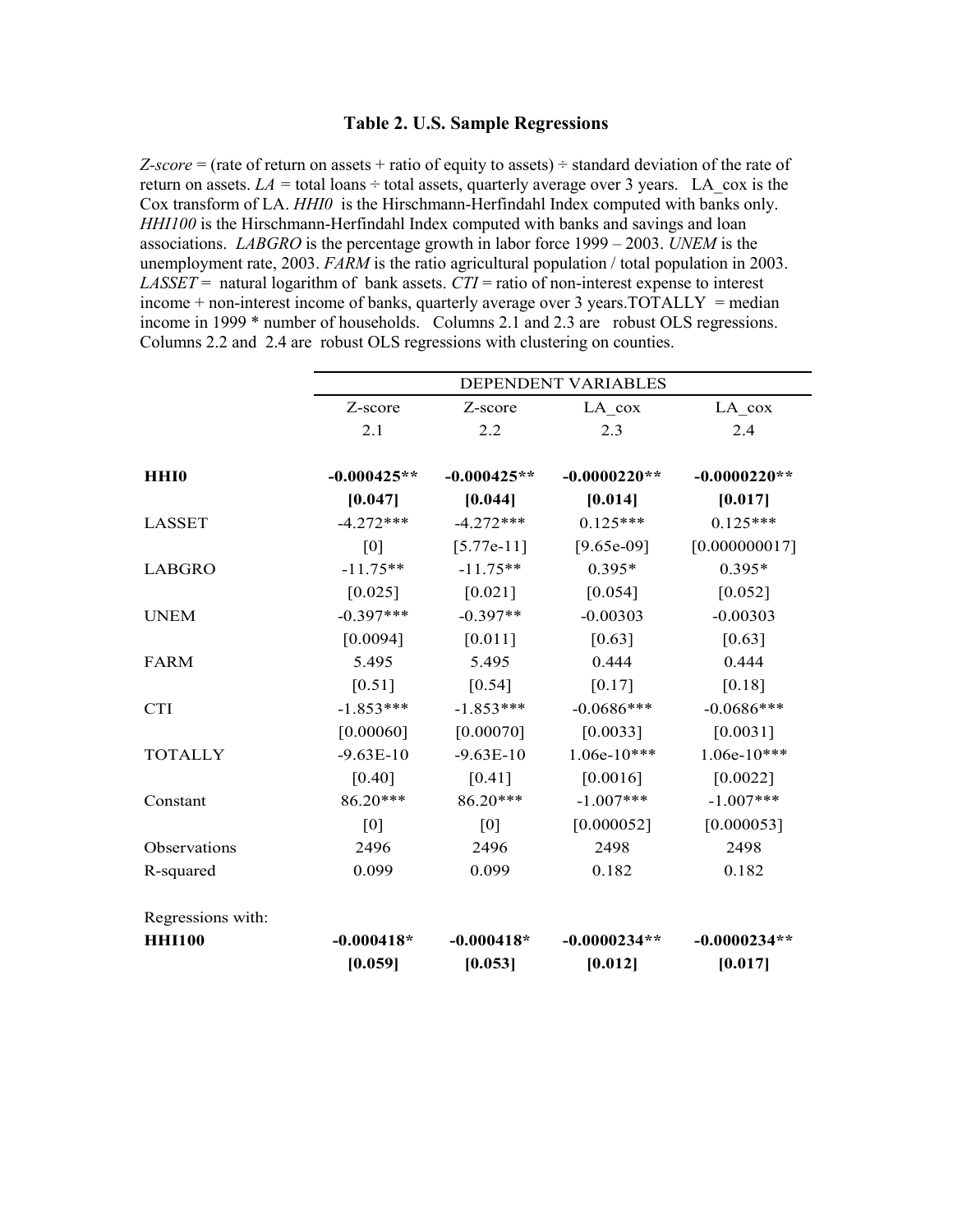#### **Table 2. U.S. Sample Regressions**

*Z-score* = (rate of return on assets + ratio of equity to assets)  $\div$  standard deviation of the rate of return on assets.  $LA =$  total loans  $\div$  total assets, quarterly average over 3 years. LA cox is the Cox transform of LA. *HHI0* is the Hirschmann-Herfindahl Index computed with banks only. *HHI100* is the Hirschmann-Herfindahl Index computed with banks and savings and loan associations. *LABGRO* is the percentage growth in labor force 1999 – 2003. *UNEM* is the unemployment rate, 2003. *FARM* is the ratio agricultural population / total population in 2003. *LASSET* = natural logarithm of bank assets.  $\overline{CTI}$  = ratio of non-interest expense to interest income  $+$  non-interest income of banks, quarterly average over 3 years. TOTALLY = median income in 1999 \* number of households. Columns 2.1 and 2.3 are robust OLS regressions. Columns 2.2 and 2.4 are robust OLS regressions with clustering on counties.

|                   | <b>DEPENDENT VARIABLES</b> |               |                |                |
|-------------------|----------------------------|---------------|----------------|----------------|
|                   | Z-score                    | Z-score       | $LA_{cov}$     | $LA_{cov}$     |
|                   | 2.1                        | 2.2           | 2.3            | 2.4            |
|                   |                            |               |                |                |
| <b>HHI0</b>       | $-0.000425**$              | $-0.000425**$ | $-0.0000220**$ | $-0.0000220**$ |
|                   | [0.047]                    | [0.044]       | [0.014]        | [0.017]        |
| <b>LASSET</b>     | $-4.272***$                | $-4.272***$   | $0.125***$     | $0.125***$     |
|                   | [0]                        | $[5.77e-11]$  | $[9.65e-09]$   | [0.000000017]  |
| <b>LABGRO</b>     | $-11.75**$                 | $-11.75**$    | $0.395*$       | $0.395*$       |
|                   | $[0.025]$                  | $[0.021]$     | $[0.054]$      | $[0.052]$      |
| <b>UNEM</b>       | $-0.397***$                | $-0.397**$    | $-0.00303$     | $-0.00303$     |
|                   | [0.0094]                   | $[0.011]$     | $[0.63]$       | $[0.63]$       |
| <b>FARM</b>       | 5.495                      | 5.495         | 0.444          | 0.444          |
|                   | $[0.51]$                   | $[0.54]$      | $[0.17]$       | $[0.18]$       |
| <b>CTI</b>        | $-1.853***$                | $-1.853***$   | $-0.0686***$   | $-0.0686***$   |
|                   | [0.00060]                  | [0.00070]     | [0.0033]       | [0.0031]       |
| <b>TOTALLY</b>    | $-9.63E-10$                | $-9.63E-10$   | $1.06e-10***$  | $1.06e-10***$  |
|                   | $[0.40]$                   | $[0.41]$      | [0.0016]       | [0.0022]       |
| Constant          | 86.20***                   | 86.20***      | $-1.007***$    | $-1.007***$    |
|                   | [0]                        | [0]           | [0.000052]     | [0.000053]     |
| Observations      | 2496                       | 2496          | 2498           | 2498           |
| R-squared         | 0.099                      | 0.099         | 0.182          | 0.182          |
| Regressions with: |                            |               |                |                |
| <b>HHI100</b>     | $-0.000418*$               | $-0.000418*$  | $-0.0000234**$ | $-0.0000234**$ |
|                   | [0.059]                    | [0.053]       | [0.012]        | [0.017]        |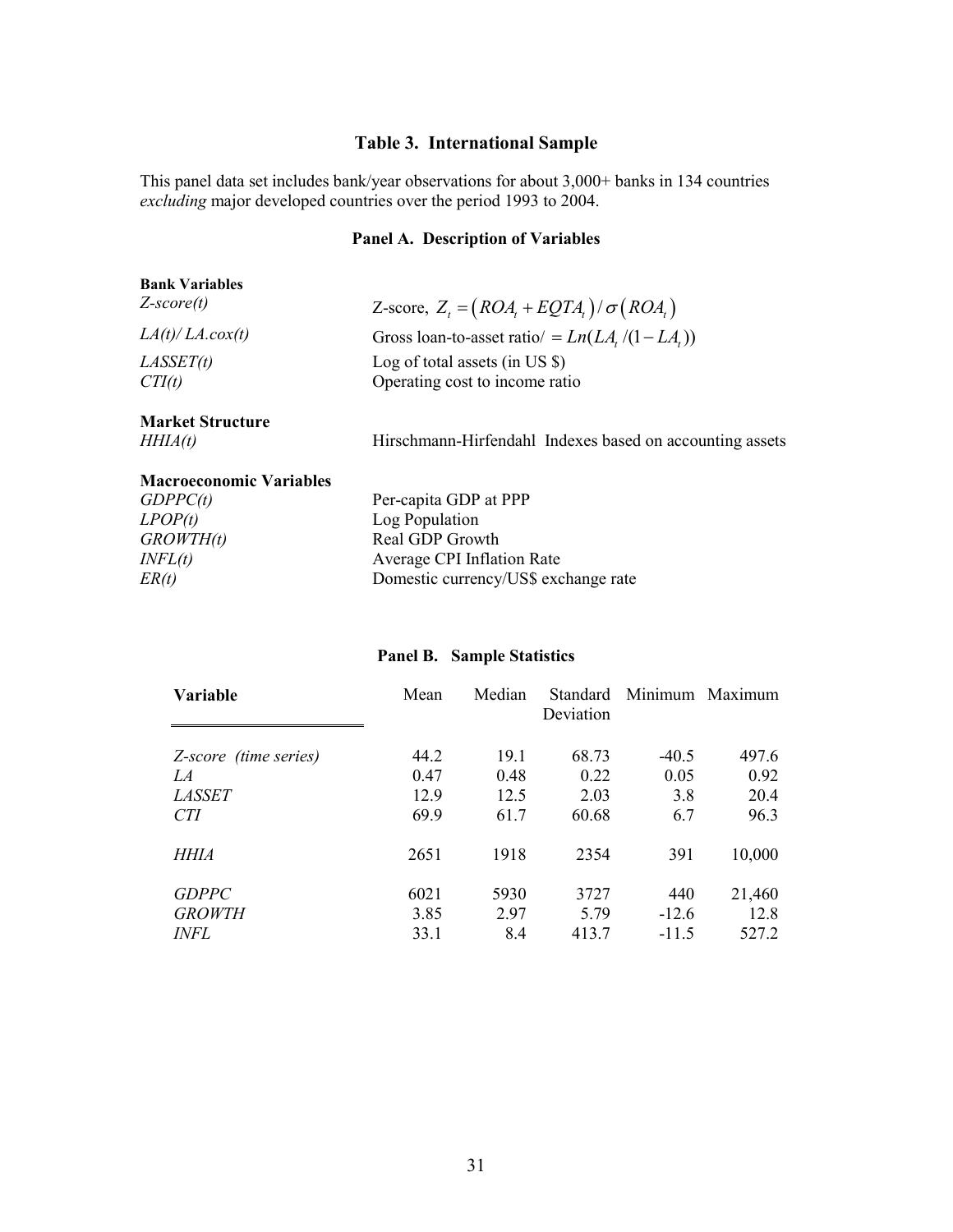# **Table 3. International Sample**

This panel data set includes bank/year observations for about 3,000+ banks in 134 countries *excluding* major developed countries over the period 1993 to 2004.

# **Panel A. Description of Variables**

| Z-score, $Z_t = (ROA_t + EQTA_t)/\sigma (ROA_t)$         |
|----------------------------------------------------------|
| Gross loan-to-asset ratio/ = $Ln(LA / (1 - LA))$         |
| Log of total assets (in US $\$ )                         |
| Operating cost to income ratio                           |
|                                                          |
| Hirschmann-Hirfendahl Indexes based on accounting assets |
|                                                          |

| <b>Macroeconomic Variables</b> |                                      |
|--------------------------------|--------------------------------------|
| GDPPC(t)                       | Per-capita GDP at PPP                |
| LPOP(t)                        | Log Population                       |
| GROWTH(t)                      | Real GDP Growth                      |
| INFL(t)                        | Average CPI Inflation Rate           |
| ER(t)                          | Domestic currency/US\$ exchange rate |

# **Panel B. Sample Statistics**

| Variable              | Mean | Median | <b>Standard</b><br>Deviation |         | Minimum Maximum |
|-----------------------|------|--------|------------------------------|---------|-----------------|
| Z-score (time series) | 44.2 | 19.1   | 68.73                        | $-40.5$ | 497.6           |
| LA                    | 0.47 | 0.48   | 0.22                         | 0.05    | 0.92            |
| <i>LASSET</i>         | 12.9 | 12.5   | 2.03                         | 3.8     | 20.4            |
| CTI                   | 69.9 | 61.7   | 60.68                        | 6.7     | 96.3            |
| HHIA                  | 2651 | 1918   | 2354                         | 391     | 10,000          |
| <b>GDPPC</b>          | 6021 | 5930   | 3727                         | 440     | 21,460          |
| <b>GROWTH</b>         | 3.85 | 2.97   | 5.79                         | $-12.6$ | 12.8            |
| <i>INFL</i>           | 33.1 | 8.4    | 413.7                        | $-11.5$ | 527.2           |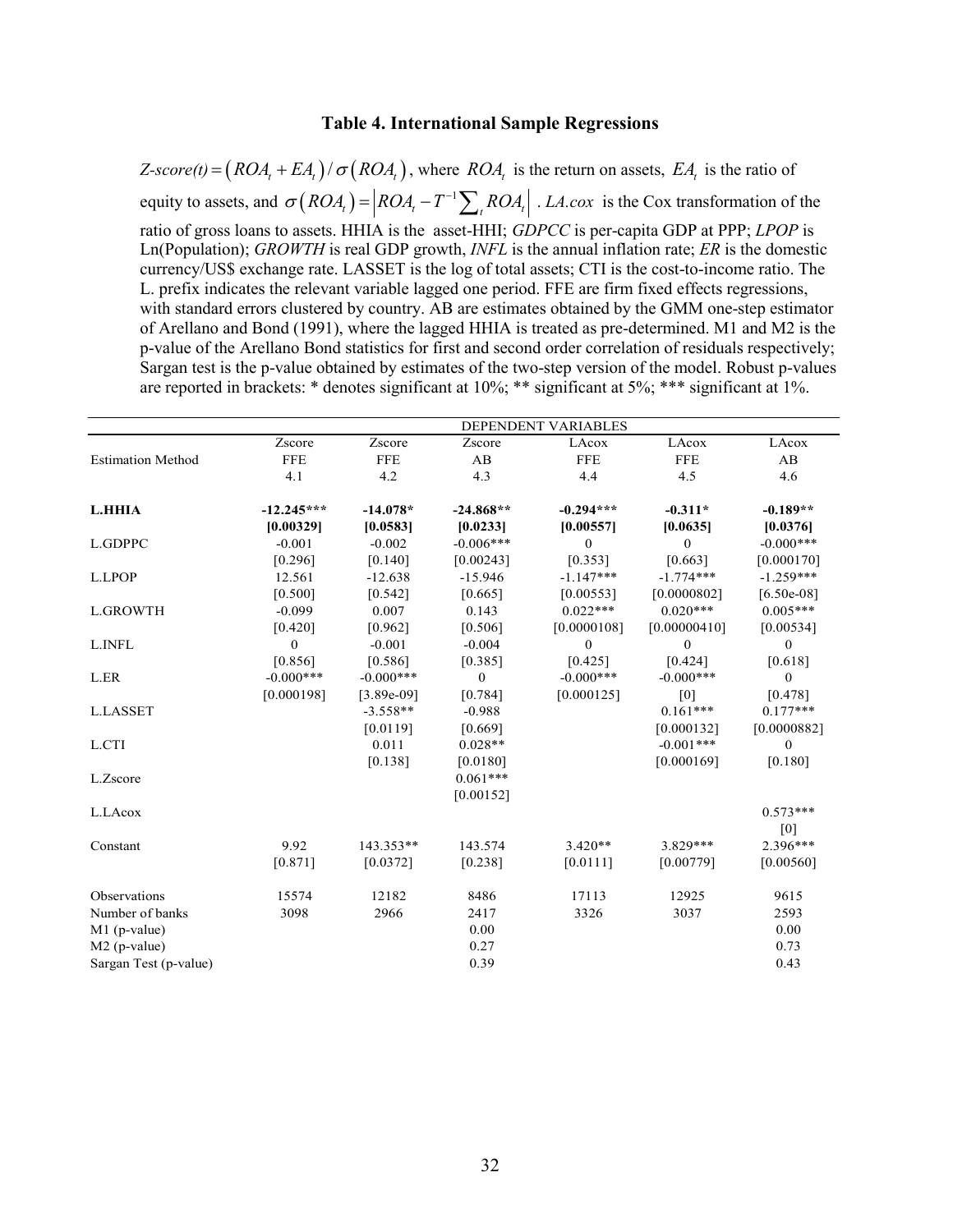#### **Table 4. International Sample Regressions**

 $Z\text{-}score(t) = (ROA_ + EA_ +) / \sigma (ROA_ +)$ , where *ROA*, is the return on assets, *EA*, is the ratio of equity to assets, and  $\sigma (ROA_t) = |ROA_t - T^{-1} \sum_{t} ROA_t |$ . *LA.cox* is the Cox transformation of the ratio of gross loans to assets. HHIA is the asset-HHI; *GDPCC* is per-capita GDP at PPP; *LPOP* is Ln(Population); *GROWTH* is real GDP growth, *INFL* is the annual inflation rate; *ER* is the domestic currency/US\$ exchange rate. LASSET is the log of total assets; CTI is the cost-to-income ratio. The L. prefix indicates the relevant variable lagged one period. FFE are firm fixed effects regressions, with standard errors clustered by country. AB are estimates obtained by the GMM one-step estimator of Arellano and Bond (1991), where the lagged HHIA is treated as pre-determined. M1 and M2 is the p-value of the Arellano Bond statistics for first and second order correlation of residuals respectively; Sargan test is the p-value obtained by estimates of the two-step version of the model. Robust p-values are reported in brackets: \* denotes significant at 10%; \*\* significant at 5%; \*\*\* significant at 1%.

|                          | DEPENDENT VARIABLES |              |                |              |                |                  |
|--------------------------|---------------------|--------------|----------------|--------------|----------------|------------------|
|                          | Zscore              | Zscore       | Zscore         | LAcox        | LAcox          | LAcox            |
| <b>Estimation Method</b> | <b>FFE</b>          | <b>FFE</b>   | AB             | <b>FFE</b>   | <b>FFE</b>     | AB               |
|                          | 4.1                 | 4.2          | 4.3            | 4.4          | 4.5            | 4.6              |
| <b>L.HHIA</b>            | $-12.245***$        | $-14.078*$   | $-24.868**$    | $-0.294***$  | $-0.311*$      | $-0.189**$       |
|                          | [0.00329]           | [0.0583]     | [0.0233]       | [0.00557]    | [0.0635]       | [0.0376]         |
| L.GDPPC                  | $-0.001$            | $-0.002$     | $-0.006***$    | $\mathbf{0}$ | $\overline{0}$ | $-0.000***$      |
|                          | [0.296]             | $[0.140]$    | [0.00243]      | [0.353]      | [0.663]        | [0.000170]       |
| L.LPOP                   | 12.561              | $-12.638$    | $-15.946$      | $-1.147***$  | $-1.774***$    | $-1.259***$      |
|                          | [0.500]             | [0.542]      | [0.665]        | [0.00553]    | [0.0000802]    | $[6.50e-08]$     |
| <b>L.GROWTH</b>          | $-0.099$            | 0.007        | 0.143          | $0.022***$   | $0.020***$     | $0.005***$       |
|                          | [0.420]             | [0.962]      | [0.506]        | [0.0000108]  | [0.00000410]   | [0.00534]        |
| L.INFL                   | $\mathbf{0}$        | $-0.001$     | $-0.004$       | $\mathbf{0}$ | $\mathbf{0}$   | $\mathbf{0}$     |
|                          | [0.856]             | [0.586]      | [0.385]        | [0.425]      | [0.424]        | [0.618]          |
| L.ER                     | $-0.000***$         | $-0.000***$  | $\overline{0}$ | $-0.000***$  | $-0.000***$    | $\overline{0}$   |
|                          | [0.000198]          | $[3.89e-09]$ | [0.784]        | [0.000125]   | [0]            | [0.478]          |
| <b>L.LASSET</b>          |                     | $-3.558**$   | $-0.988$       |              | $0.161***$     | $0.177***$       |
|                          |                     | [0.0119]     | [0.669]        |              | [0.000132]     | [0.0000882]      |
| L.CTI                    |                     | 0.011        | $0.028**$      |              | $-0.001***$    | $\boldsymbol{0}$ |
|                          |                     | [0.138]      | [0.0180]       |              | [0.000169]     | [0.180]          |
| L.Zscore                 |                     |              | $0.061***$     |              |                |                  |
|                          |                     |              | [0.00152]      |              |                |                  |
| L.LAcox                  |                     |              |                |              |                | $0.573***$       |
|                          |                     |              |                |              |                | [0]              |
| Constant                 | 9.92                | 143.353**    | 143.574        | $3.420**$    | 3.829 ***      | 2.396***         |
|                          | $[0.871]$           | [0.0372]     | [0.238]        | [0.0111]     | [0.00779]      | [0.00560]        |
| Observations             | 15574               | 12182        | 8486           | 17113        | 12925          | 9615             |
| Number of banks          | 3098                | 2966         | 2417           | 3326         | 3037           | 2593             |
| $M1$ (p-value)           |                     |              | 0.00           |              |                | 0.00             |
| $M2$ (p-value)           |                     |              | 0.27           |              |                | 0.73             |
| Sargan Test (p-value)    |                     |              | 0.39           |              |                | 0.43             |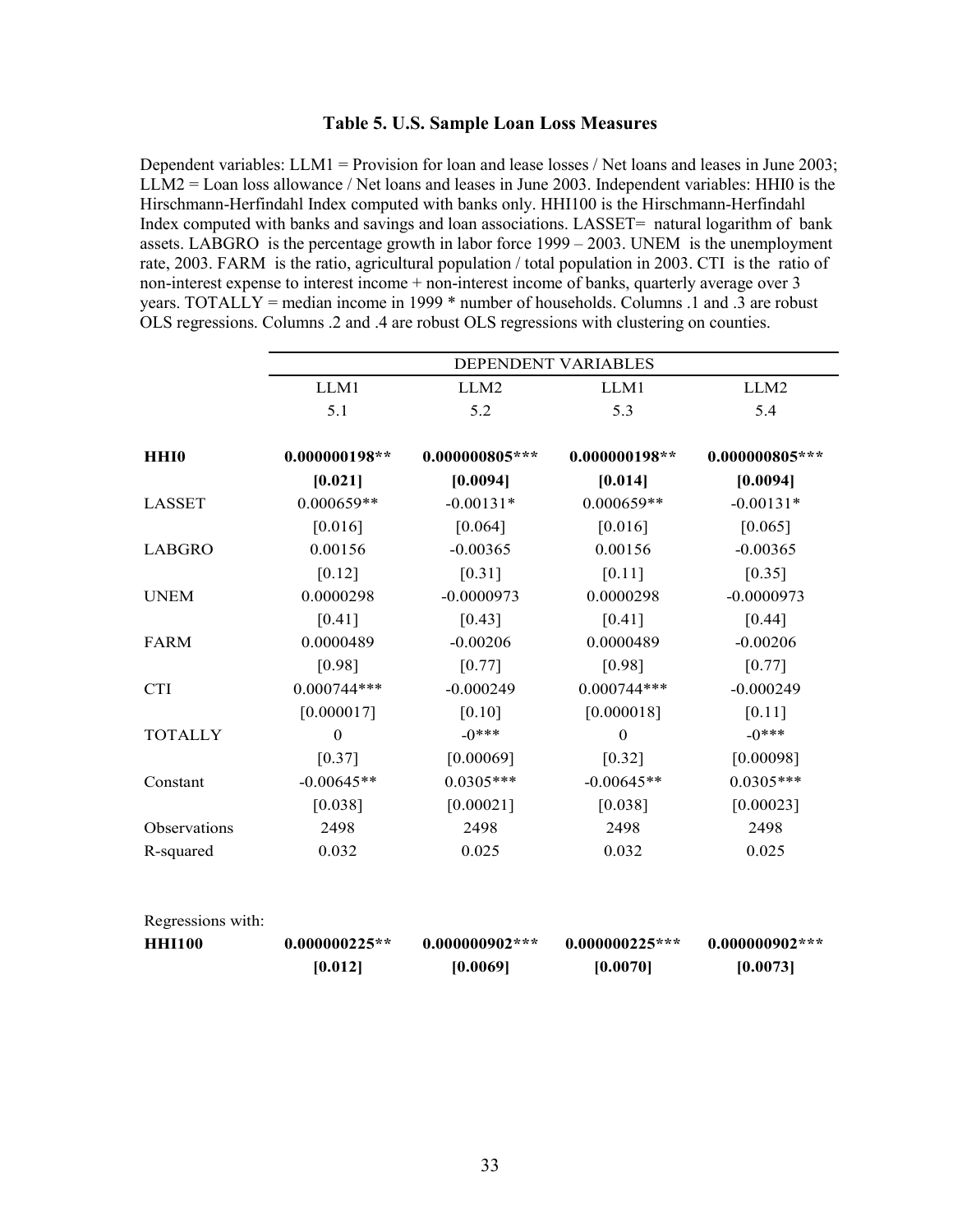#### **Table 5. U.S. Sample Loan Loss Measures**

Dependent variables: LLM1 = Provision for loan and lease losses / Net loans and leases in June 2003; LLM2 = Loan loss allowance / Net loans and leases in June 2003. Independent variables: HHI0 is the Hirschmann-Herfindahl Index computed with banks only. HHI100 is the Hirschmann-Herfindahl Index computed with banks and savings and loan associations. LASSET= natural logarithm of bank assets. LABGRO is the percentage growth in labor force 1999 – 2003. UNEM is the unemployment rate, 2003. FARM is the ratio, agricultural population / total population in 2003. CTI is the ratio of non-interest expense to interest income + non-interest income of banks, quarterly average over 3 years. TOTALLY = median income in 1999 \* number of households. Columns .1 and .3 are robust OLS regressions. Columns .2 and .4 are robust OLS regressions with clustering on counties.

|                   |                  |                  | DEPENDENT VARIABLES |                  |
|-------------------|------------------|------------------|---------------------|------------------|
|                   | LLM1             | LLM <sub>2</sub> | LLM1                | LLM2             |
|                   | 5.1              | 5.2              | 5.3                 | 5.4              |
| <b>HHI0</b>       | $0.000000198**$  | $0.000000805***$ | $0.000000198**$     | $0.000000805***$ |
|                   | [0.021]          | [0.0094]         | [0.014]             | [0.0094]         |
| <b>LASSET</b>     | $0.000659**$     | $-0.00131*$      | $0.000659**$        | $-0.00131*$      |
|                   | $[0.016]$        | $[0.064]$        | $[0.016]$           | [0.065]          |
| <b>LABGRO</b>     | 0.00156          | $-0.00365$       | 0.00156             | $-0.00365$       |
|                   | $[0.12]$         | $[0.31]$         | $[0.11]$            | $[0.35]$         |
| <b>UNEM</b>       | 0.0000298        | $-0.0000973$     | 0.0000298           | $-0.0000973$     |
|                   | [0.41]           | [0.43]           | $[0.41]$            | [0.44]           |
| <b>FARM</b>       | 0.0000489        | $-0.00206$       | 0.0000489           | $-0.00206$       |
|                   | [0.98]           | $[0.77]$         | [0.98]              | $[0.77]$         |
| <b>CTI</b>        | $0.000744***$    | $-0.000249$      | $0.000744***$       | $-0.000249$      |
|                   | [0.000017]       | $[0.10]$         | [0.000018]          | $[0.11]$         |
| <b>TOTALLY</b>    | $\boldsymbol{0}$ | $-0***$          | $\boldsymbol{0}$    | $-0***$          |
|                   | [0.37]           | [0.00069]        | [0.32]              | [0.00098]        |
| Constant          | $-0.00645**$     | $0.0305***$      | $-0.00645**$        | $0.0305***$      |
|                   | [0.038]          | [0.00021]        | [0.038]             | [0.00023]        |
| Observations      | 2498             | 2498             | 2498                | 2498             |
| R-squared         | 0.032            | 0.025            | 0.032               | 0.025            |
| Regressions with: |                  |                  |                     |                  |
| <b>HHI100</b>     | $0.000000225**$  | $0.000000902***$ | $0.000000225***$    | $0.000000902***$ |
|                   | [0.012]          | [0.0069]         | [0.0070]            | [0.0073]         |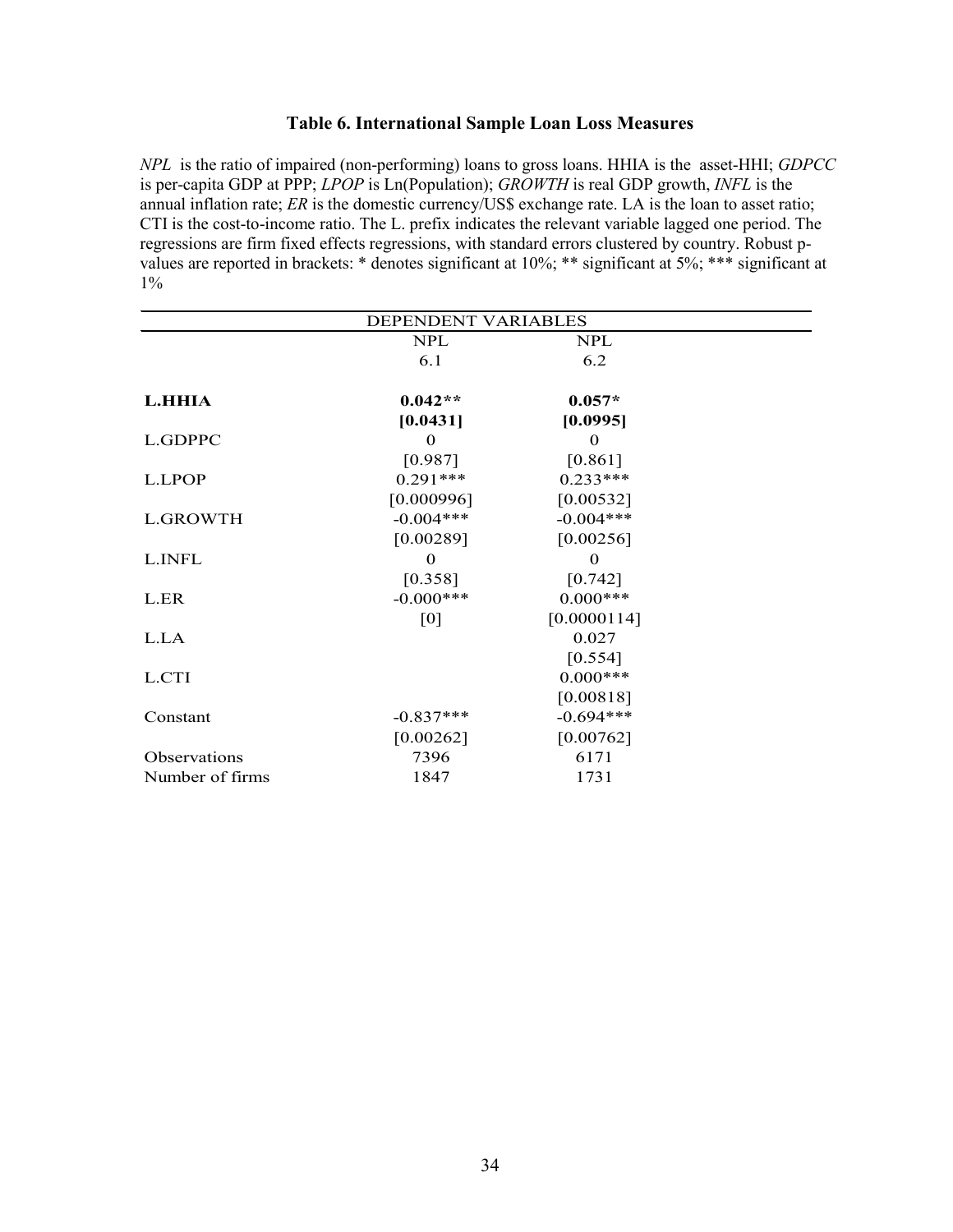## **Table 6. International Sample Loan Loss Measures**

*NPL* is the ratio of impaired (non-performing) loans to gross loans. HHIA is the asset-HHI; *GDPCC* is per-capita GDP at PPP; *LPOP* is Ln(Population); *GROWTH* is real GDP growth, *INFL* is the annual inflation rate; *ER* is the domestic currency/US\$ exchange rate. LA is the loan to asset ratio; CTI is the cost-to-income ratio. The L. prefix indicates the relevant variable lagged one period. The regressions are firm fixed effects regressions, with standard errors clustered by country. Robust pvalues are reported in brackets: \* denotes significant at 10%; \*\* significant at 5%; \*\*\* significant at 1%

| DEPENDENT VARIABLES |              |             |  |
|---------------------|--------------|-------------|--|
|                     | <b>NPL</b>   | <b>NPL</b>  |  |
|                     | 6.1          | 6.2         |  |
| L.HHIA              | $0.042**$    | $0.057*$    |  |
|                     | [0.0431]     | [0.0995]    |  |
| L.GDPPC             | $\Omega$     | $\Omega$    |  |
|                     | [0.987]      | $[0.861]$   |  |
| L.LPOP              | $0.291***$   | $0.233***$  |  |
|                     | [0.000996]   | [0.00532]   |  |
| <b>L.GROWTH</b>     | $-0.004***$  | $-0.004***$ |  |
|                     | [0.00289]    | [0.00256]   |  |
| L.INFL              | $\mathbf 0$  | $\Omega$    |  |
|                     | [0.358]      | $[0.742]$   |  |
| L.ER                | $-0.000$ *** | $0.000***$  |  |
|                     | [0]          | [0.0000114] |  |
| L.LA                |              | 0.027       |  |
|                     |              | $[0.554]$   |  |
| L.CTI               |              | $0.000***$  |  |
|                     |              | [0.00818]   |  |
| Constant            | $-0.837***$  | $-0.694***$ |  |
|                     | [0.00262]    | [0.00762]   |  |
| Observations        | 7396         | 6171        |  |
| Number of firms     | 1847         | 1731        |  |